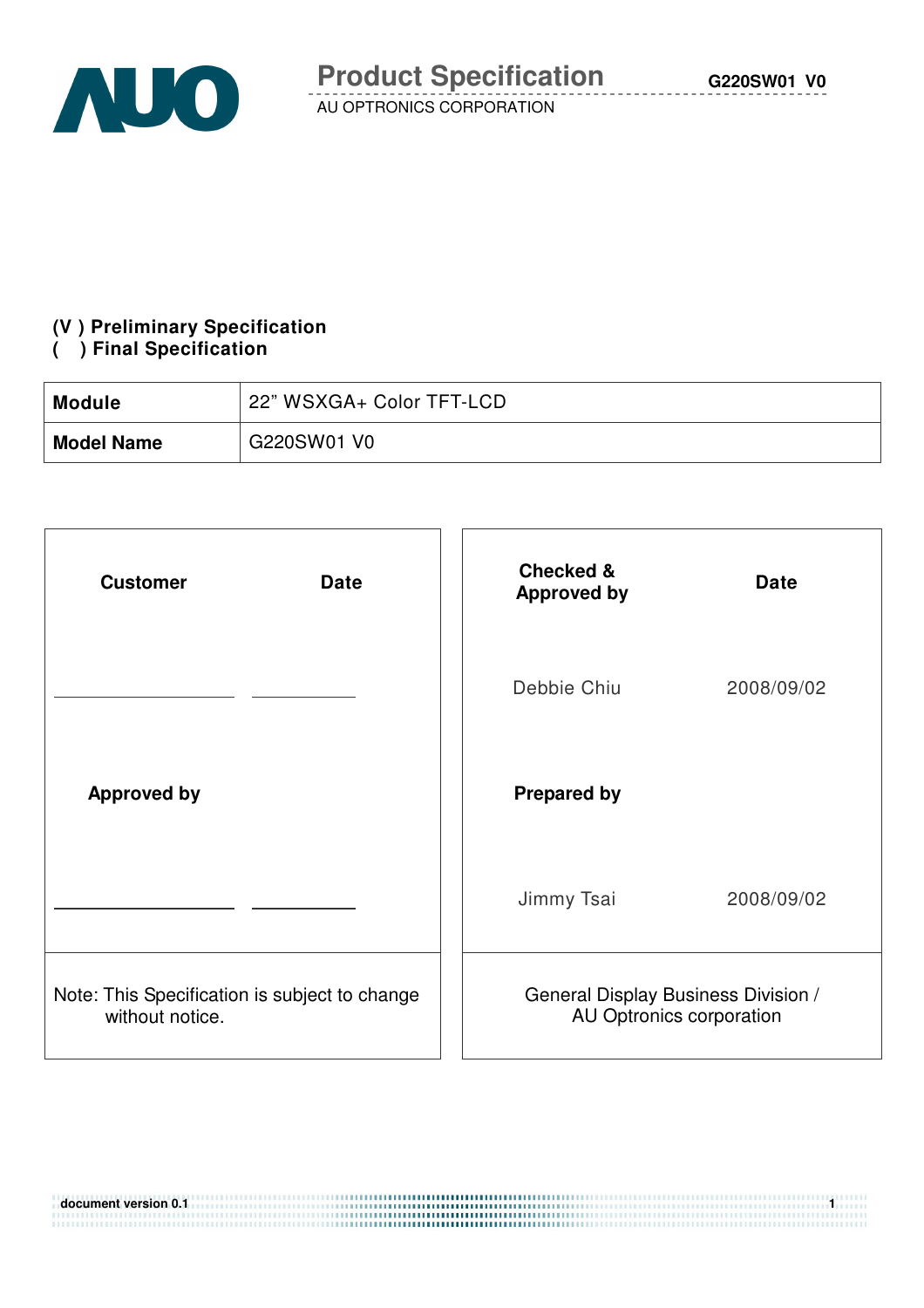# **(V ) Preliminary Specification**

#### **( ) Final Specification**

| <b>Module</b>     | 22" WSXGA+ Color TFT-LCD |
|-------------------|--------------------------|
| <b>Model Name</b> | G220SW01 V0              |

| <b>Customer</b><br><b>Date</b>                                   | <b>Checked &amp;</b><br><b>Date</b><br><b>Approved by</b>       |  |
|------------------------------------------------------------------|-----------------------------------------------------------------|--|
|                                                                  | Debbie Chiu<br>2008/09/02                                       |  |
| <b>Approved by</b>                                               | <b>Prepared by</b>                                              |  |
|                                                                  | Jimmy Tsai<br>2008/09/02                                        |  |
| Note: This Specification is subject to change<br>without notice. | General Display Business Division /<br>AU Optronics corporation |  |

| $\,$ document version 0.1 $\,$ |  |
|--------------------------------|--|
|                                |  |
|                                |  |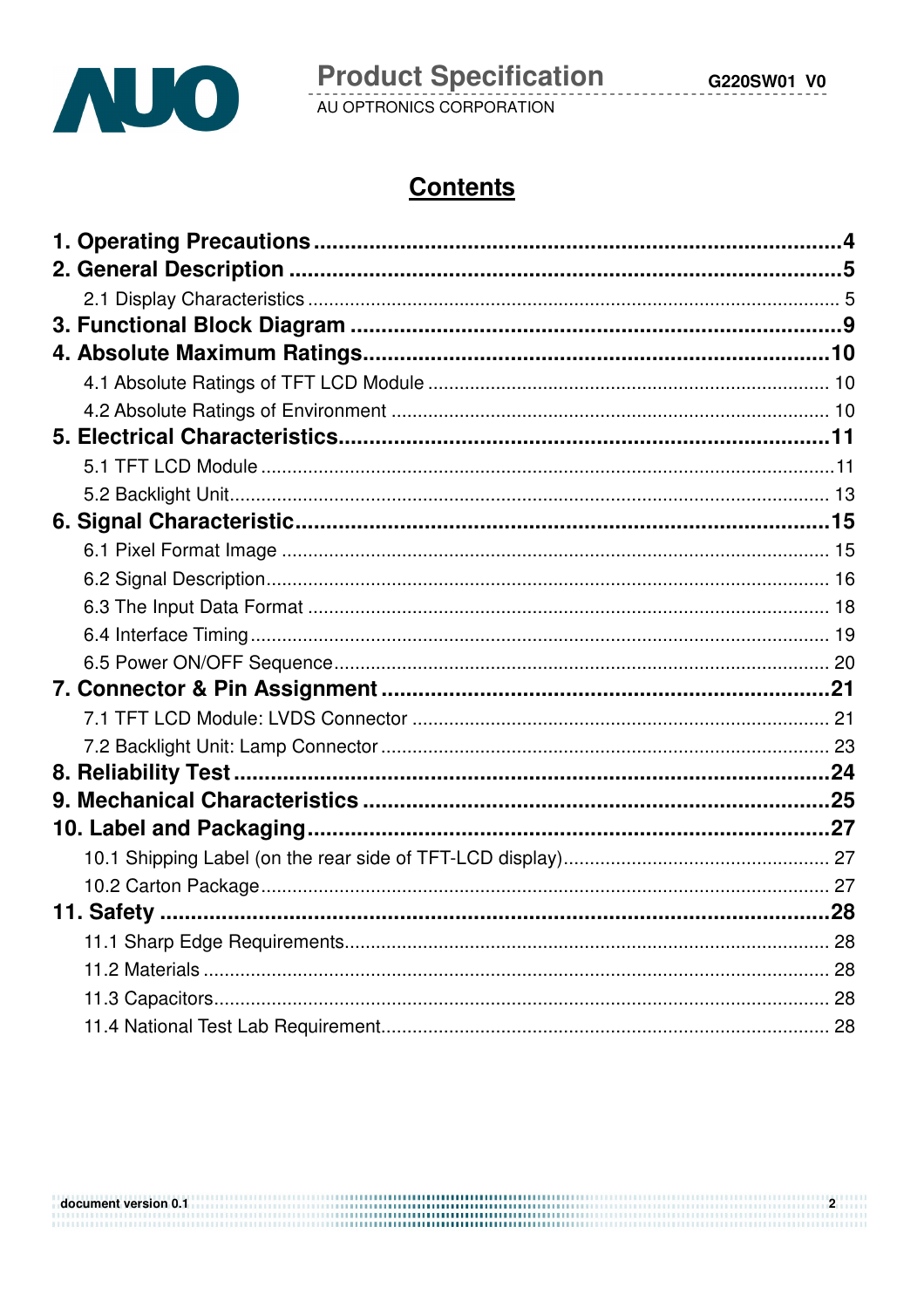

# **Contents**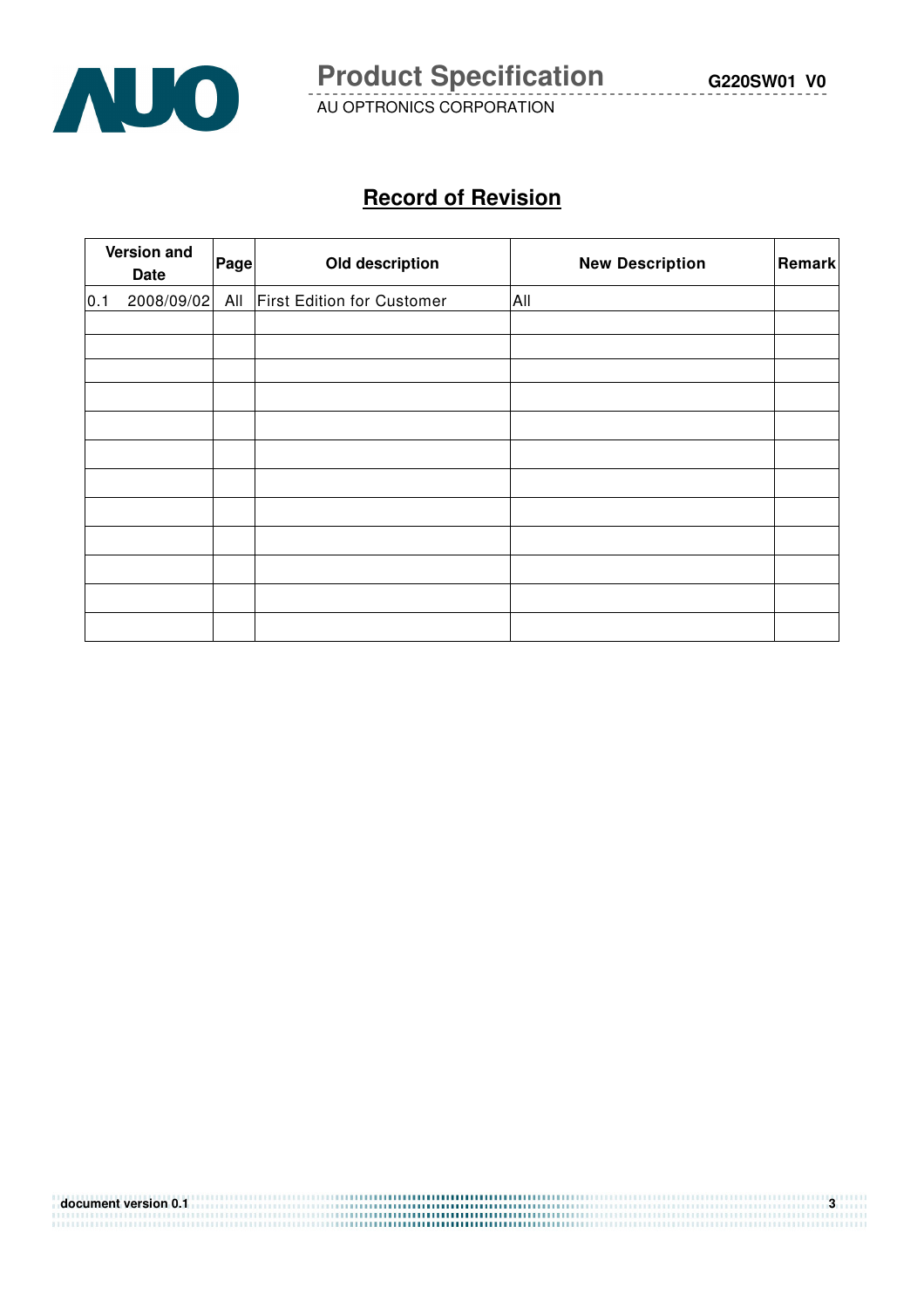

# **Record of Revision**

|     | Version and<br>Date | Pagel | Old description                   | <b>New Description</b> | Remark |
|-----|---------------------|-------|-----------------------------------|------------------------|--------|
| 0.1 | 2008/09/02          | All   | <b>First Edition for Customer</b> | All                    |        |
|     |                     |       |                                   |                        |        |
|     |                     |       |                                   |                        |        |
|     |                     |       |                                   |                        |        |
|     |                     |       |                                   |                        |        |
|     |                     |       |                                   |                        |        |
|     |                     |       |                                   |                        |        |
|     |                     |       |                                   |                        |        |
|     |                     |       |                                   |                        |        |
|     |                     |       |                                   |                        |        |
|     |                     |       |                                   |                        |        |
|     |                     |       |                                   |                        |        |
|     |                     |       |                                   |                        |        |

| document version 0.1 |  |
|----------------------|--|
|                      |  |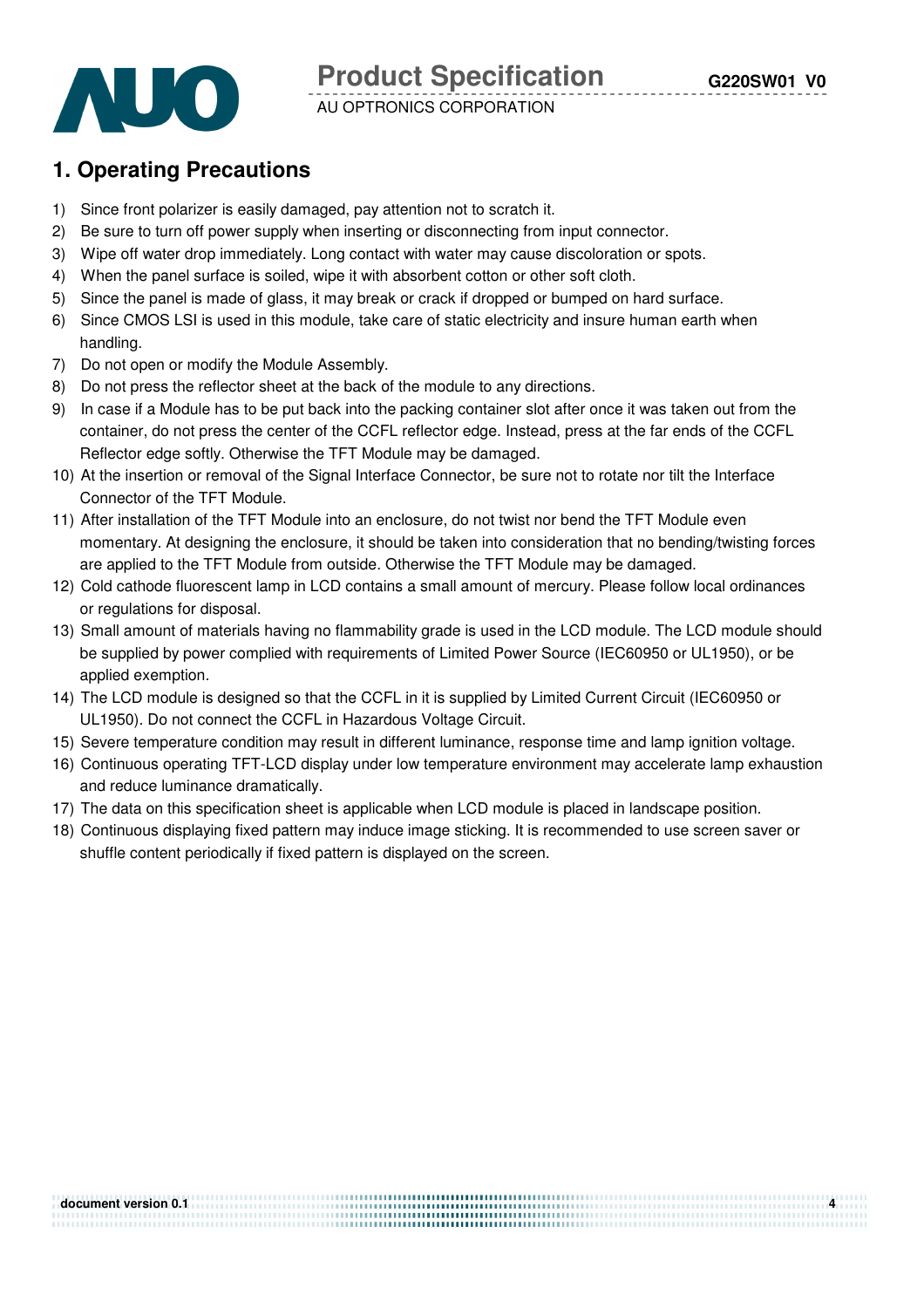**Product Specification** 



AU OPTRONICS CORPORATION

# **1. Operating Precautions**

- 1) Since front polarizer is easily damaged, pay attention not to scratch it.
- 2) Be sure to turn off power supply when inserting or disconnecting from input connector.
- 3) Wipe off water drop immediately. Long contact with water may cause discoloration or spots.
- 4) When the panel surface is soiled, wipe it with absorbent cotton or other soft cloth.
- 5) Since the panel is made of glass, it may break or crack if dropped or bumped on hard surface.
- 6) Since CMOS LSI is used in this module, take care of static electricity and insure human earth when handling.
- 7) Do not open or modify the Module Assembly.
- 8) Do not press the reflector sheet at the back of the module to any directions.
- 9) In case if a Module has to be put back into the packing container slot after once it was taken out from the container, do not press the center of the CCFL reflector edge. Instead, press at the far ends of the CCFL Reflector edge softly. Otherwise the TFT Module may be damaged.
- 10) At the insertion or removal of the Signal Interface Connector, be sure not to rotate nor tilt the Interface Connector of the TFT Module.
- 11) After installation of the TFT Module into an enclosure, do not twist nor bend the TFT Module even momentary. At designing the enclosure, it should be taken into consideration that no bending/twisting forces are applied to the TFT Module from outside. Otherwise the TFT Module may be damaged.
- 12) Cold cathode fluorescent lamp in LCD contains a small amount of mercury. Please follow local ordinances or regulations for disposal.
- 13) Small amount of materials having no flammability grade is used in the LCD module. The LCD module should be supplied by power complied with requirements of Limited Power Source (IEC60950 or UL1950), or be applied exemption.
- 14) The LCD module is designed so that the CCFL in it is supplied by Limited Current Circuit (IEC60950 or UL1950). Do not connect the CCFL in Hazardous Voltage Circuit.
- 15) Severe temperature condition may result in different luminance, response time and lamp ignition voltage.
- 16) Continuous operating TFT-LCD display under low temperature environment may accelerate lamp exhaustion and reduce luminance dramatically.
- 17) The data on this specification sheet is applicable when LCD module is placed in landscape position.
- 18) Continuous displaying fixed pattern may induce image sticking. It is recommended to use screen saver or shuffle content periodically if fixed pattern is displayed on the screen.

| document version 0.1 |  |
|----------------------|--|
|                      |  |
|                      |  |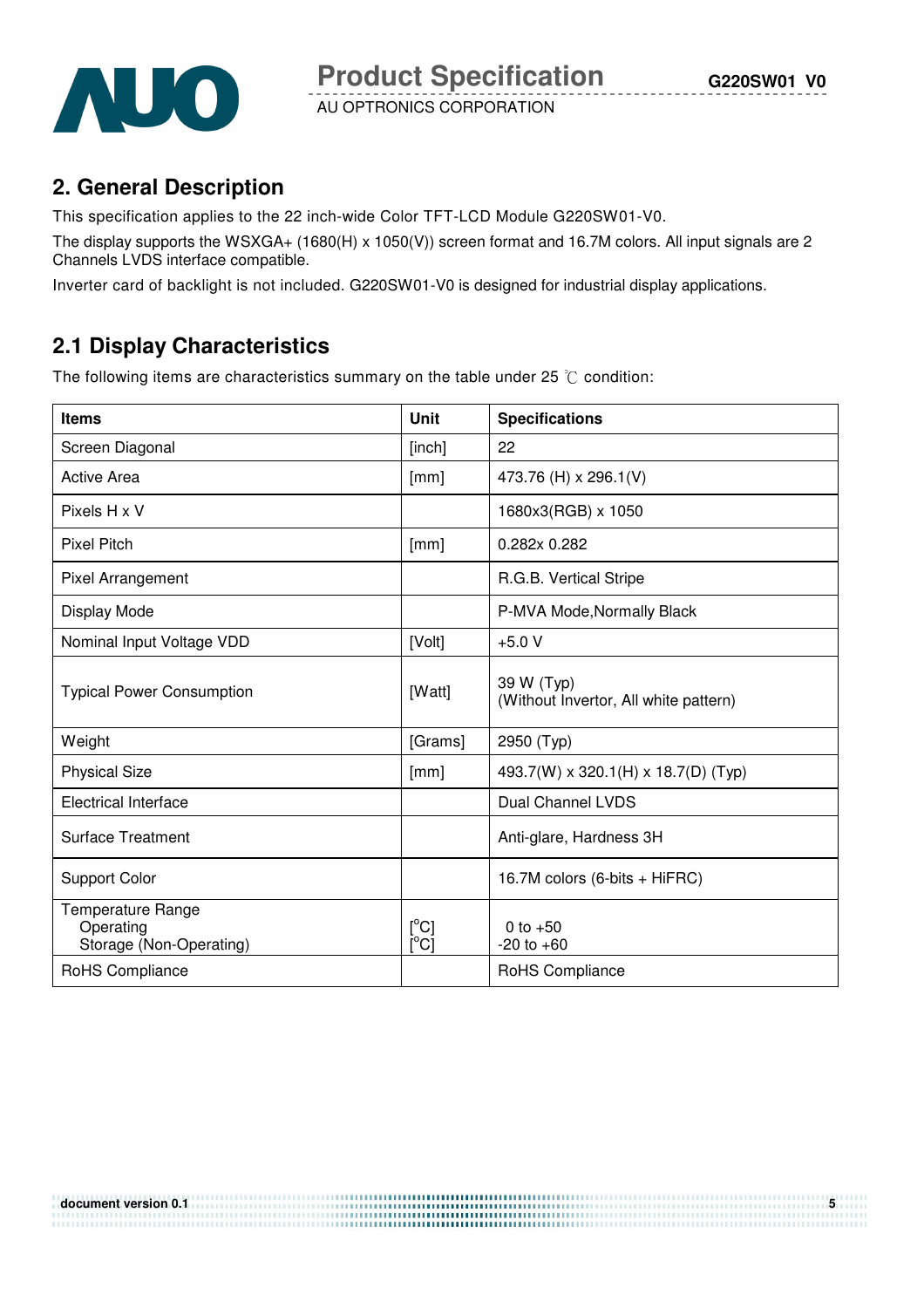

# **2. General Description**

This specification applies to the 22 inch-wide Color TFT-LCD Module G220SW01-V0.

The display supports the WSXGA+ (1680(H) x 1050(V)) screen format and 16.7M colors. All input signals are 2 Channels LVDS interface compatible.

Inverter card of backlight is not included. G220SW01-V0 is designed for industrial display applications.

# **2.1 Display Characteristics**

The following items are characteristics summary on the table under 25  $\degree$ C condition:

| <b>Items</b>                                              | Unit                                           | <b>Specifications</b>                               |
|-----------------------------------------------------------|------------------------------------------------|-----------------------------------------------------|
| Screen Diagonal                                           | [inch]                                         | 22                                                  |
| <b>Active Area</b>                                        | [mm]                                           | 473.76 (H) x 296.1(V)                               |
| Pixels H x V                                              |                                                | 1680x3(RGB) x 1050                                  |
| <b>Pixel Pitch</b>                                        | [mm]                                           | 0.282x 0.282                                        |
| Pixel Arrangement                                         |                                                | R.G.B. Vertical Stripe                              |
| Display Mode                                              |                                                | P-MVA Mode, Normally Black                          |
| Nominal Input Voltage VDD                                 | [Volt]                                         | $+5.0V$                                             |
| <b>Typical Power Consumption</b>                          | [Watt]                                         | 39 W (Typ)<br>(Without Invertor, All white pattern) |
| Weight                                                    | [Grams]                                        | 2950 (Typ)                                          |
| <b>Physical Size</b>                                      | [mm]                                           | 493.7(W) x 320.1(H) x 18.7(D) (Typ)                 |
| <b>Electrical Interface</b>                               |                                                | <b>Dual Channel LVDS</b>                            |
| <b>Surface Treatment</b>                                  |                                                | Anti-glare, Hardness 3H                             |
| <b>Support Color</b>                                      |                                                | 16.7M colors (6-bits + HiFRC)                       |
| Temperature Range<br>Operating<br>Storage (Non-Operating) | $[^{\circ}C]$<br>$\rm \bar{[}^{\circ}C\bar{]}$ | 0 to $+50$<br>$-20$ to $+60$                        |
| RoHS Compliance                                           |                                                | RoHS Compliance                                     |

**document version 0.1**  $\frac{1}{2}$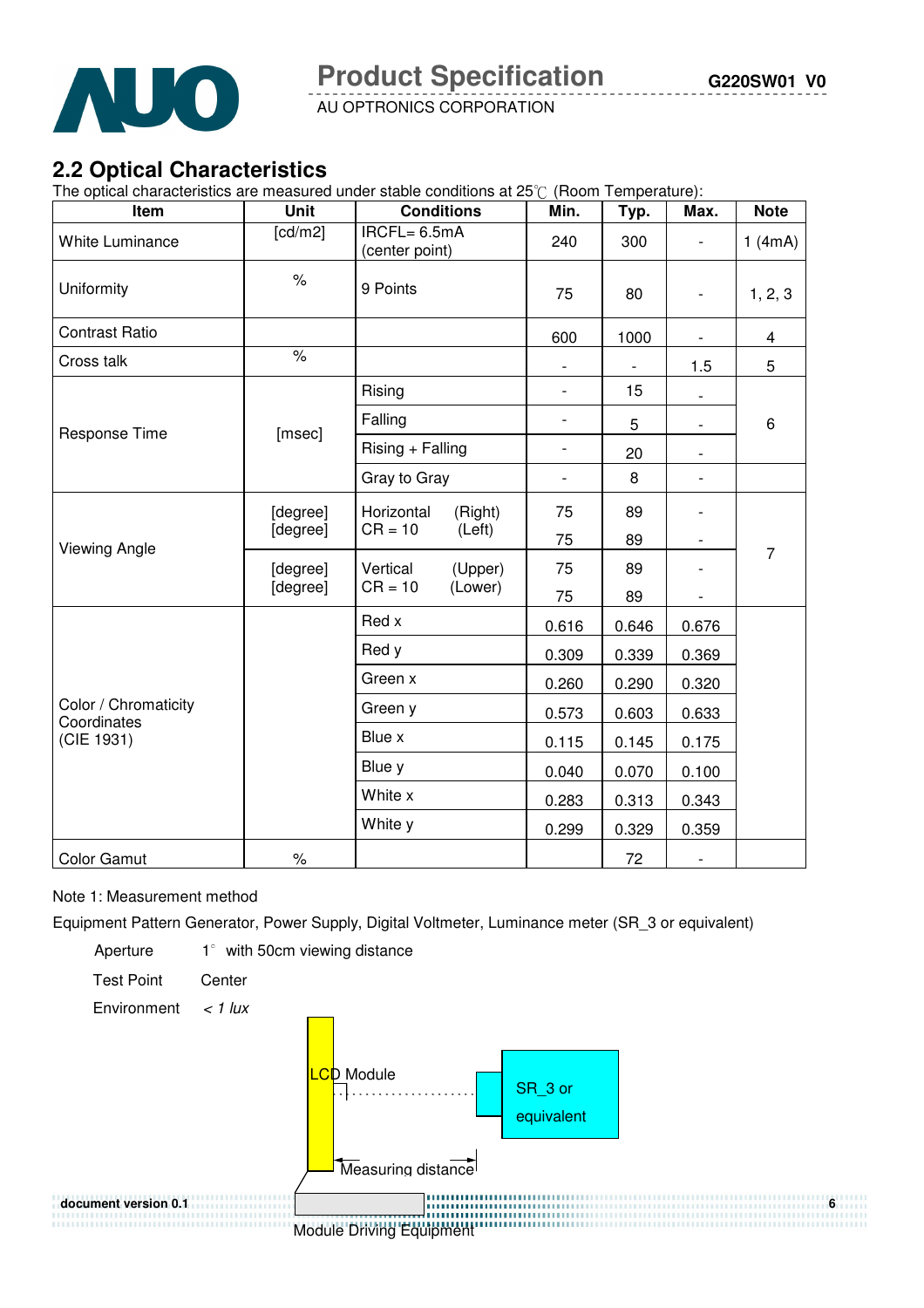

# **2.2 Optical Characteristics**

The optical characteristics are measured under stable conditions at 25°C (Room Temperature):

| Item                                | Unit                 | <b>Conditions</b>                            | Min.                     | Typ.  | Max.                     | <b>Note</b>    |
|-------------------------------------|----------------------|----------------------------------------------|--------------------------|-------|--------------------------|----------------|
| <b>White Luminance</b>              | [cd/m2]              | IRCFL= 6.5mA<br>(center point)               | 240                      | 300   | $\overline{\phantom{0}}$ | 1(4mA)         |
| Uniformity                          | $\%$                 | 9 Points                                     | 75                       | 80    | $\overline{\phantom{a}}$ | 1, 2, 3        |
| <b>Contrast Ratio</b>               |                      |                                              | 600                      | 1000  | $\overline{\phantom{a}}$ | $\overline{4}$ |
| Cross talk                          | $\frac{1}{\sqrt{2}}$ |                                              |                          |       | 1.5                      | 5              |
|                                     |                      | Rising                                       | $\overline{\phantom{a}}$ | 15    |                          |                |
|                                     |                      | Falling                                      | $\frac{1}{2}$            | 5     | $\overline{\phantom{a}}$ | 6              |
| Response Time                       | [msec]               | Rising + Falling                             | $\overline{\phantom{0}}$ | 20    | $\overline{\phantom{a}}$ |                |
|                                     |                      | Gray to Gray                                 | $\overline{\phantom{0}}$ | 8     | $\overline{\phantom{0}}$ |                |
|                                     | [degree]<br>[degree] | Horizontal<br>(Right)<br>$CR = 10$<br>(Left) | 75                       | 89    |                          | $\overline{7}$ |
| <b>Viewing Angle</b>                |                      |                                              | 75                       | 89    |                          |                |
|                                     | [degree]<br>[degree] | Vertical<br>(Upper)                          | 75                       | 89    | $\overline{\phantom{0}}$ |                |
|                                     |                      | (Lower)<br>$CR = 10$                         | 75                       | 89    | $\overline{\phantom{0}}$ |                |
|                                     |                      | Red x                                        | 0.616                    | 0.646 | 0.676                    |                |
|                                     |                      | Red y                                        | 0.309                    | 0.339 | 0.369                    |                |
|                                     |                      | Green x                                      | 0.260                    | 0.290 | 0.320                    |                |
| Color / Chromaticity<br>Coordinates |                      | Green y                                      | 0.573                    | 0.603 | 0.633                    |                |
| (CIE 1931)                          |                      | Blue x                                       | 0.115                    | 0.145 | 0.175                    |                |
|                                     |                      | Blue y                                       | 0.040                    | 0.070 | 0.100                    |                |
|                                     |                      | White x                                      | 0.283                    | 0.313 | 0.343                    |                |
|                                     |                      | White y                                      | 0.299                    | 0.329 | 0.359                    |                |
| <b>Color Gamut</b>                  | $\%$                 |                                              |                          | 72    | $\overline{\phantom{a}}$ |                |

Note 1: Measurement method

Equipment Pattern Generator, Power Supply, Digital Voltmeter, Luminance meter (SR\_3 or equivalent)

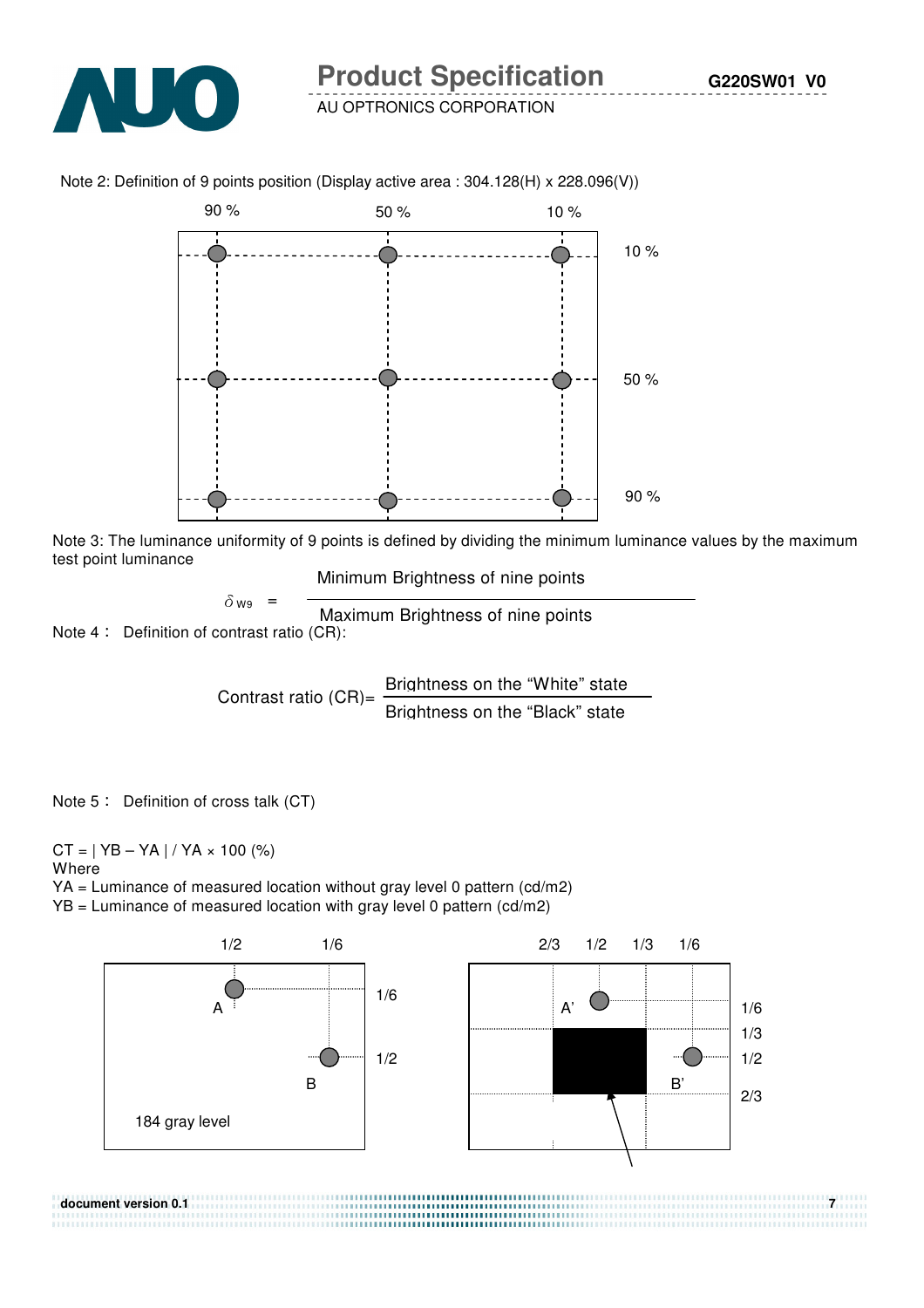

Note 2: Definition of 9 points position (Display active area : 304.128(H) x 228.096(V))



Note 3: The luminance uniformity of 9 points is defined by dividing the minimum luminance values by the maximum test point luminance

Minimum Brightness of nine points

$$
\delta_{W9} = \frac{}{\text{Maximum Brightness of nine points}}
$$

Note  $4:$  Definition of contrast ratio (CR):

Contrast ratio  $(CR)$ = Brightness on the "White" state Brightness on the "Black" state

Note  $5$  : Definition of cross talk (CT)

 $CT = | YB - YA | / YA \times 100 (%)$ Where

YA = Luminance of measured location without gray level 0 pattern (cd/m2) YB = Luminance of measured location with gray level 0 pattern (cd/m2)



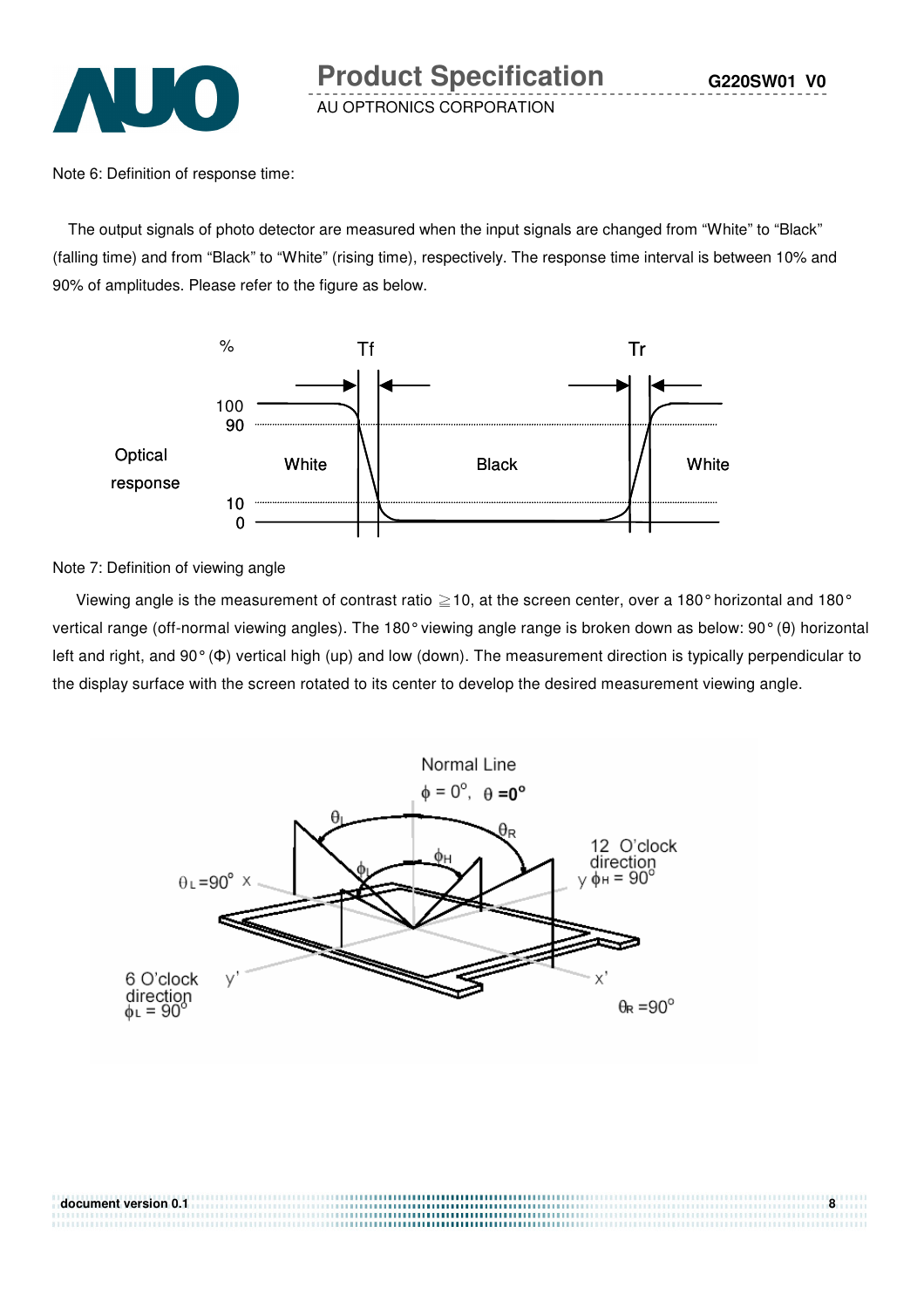

Note 6: Definition of response time:

The output signals of photo detector are measured when the input signals are changed from "White" to "Black" (falling time) and from "Black" to "White" (rising time), respectively. The response time interval is between 10% and 90% of amplitudes. Please refer to the figure as below.



Note 7: Definition of viewing angle

document version 0.1

Viewing angle is the measurement of contrast ratio  $\geq$  10, at the screen center, over a 180° horizontal and 180° vertical range (off-normal viewing angles). The 180° viewing angle range is broken down as below: 90° (θ) horizontal left and right, and 90° (Φ) vertical high (up) and low (down). The measurement direction is typically perpendicular to the display surface with the screen rotated to its center to develop the desired measurement viewing angle.

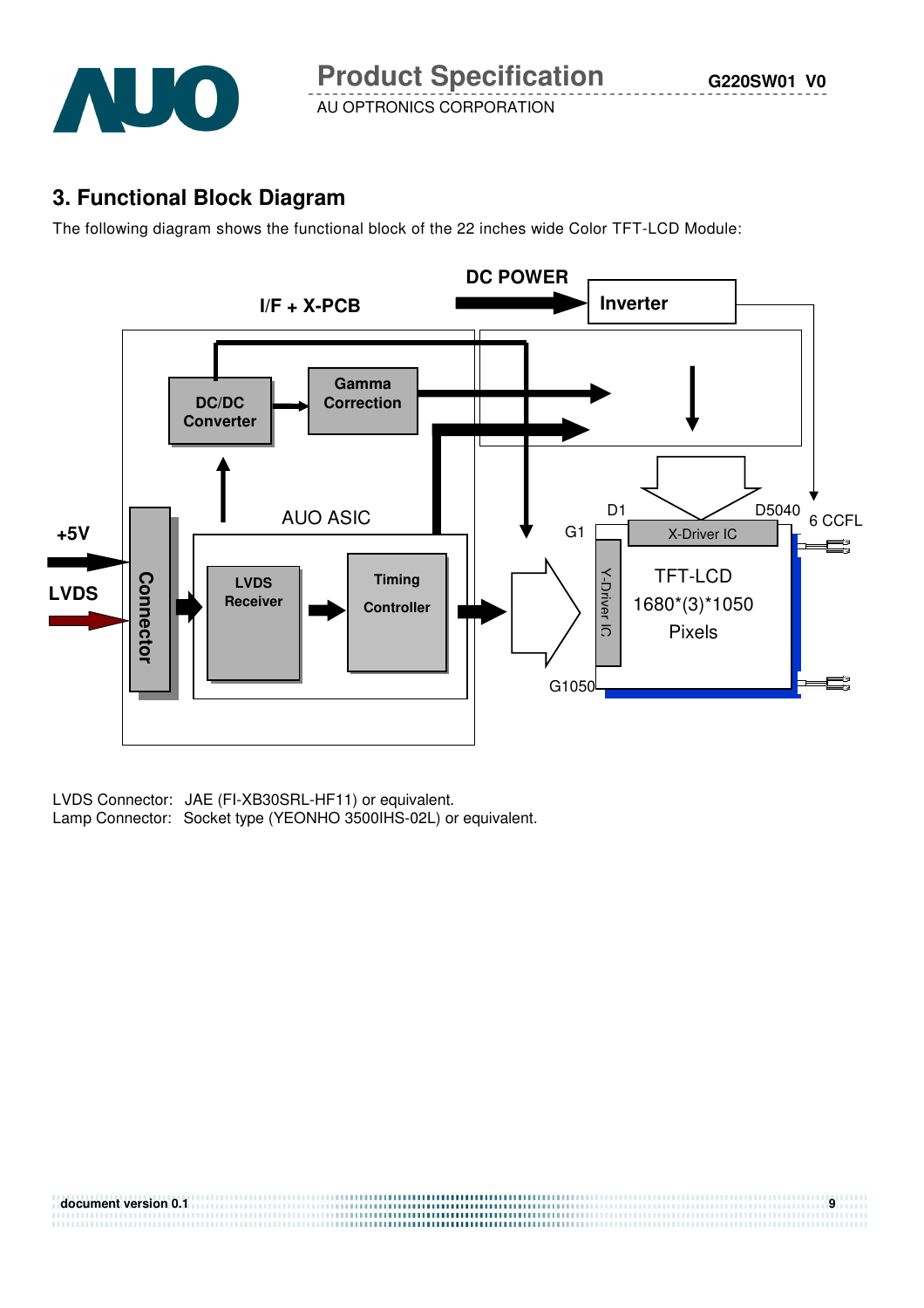

## **3. Functional Block Diagram**

The following diagram shows the functional block of the 22 inches wide Color TFT-LCD Module:



LVDS Connector: JAE (FI-XB30SRL-HF11) or equivalent.<br>Lamp Connector: Socket type (YEONHO 3500IHS-02L) or equivalent.

| document version 0.1 |  |
|----------------------|--|
|                      |  |
|                      |  |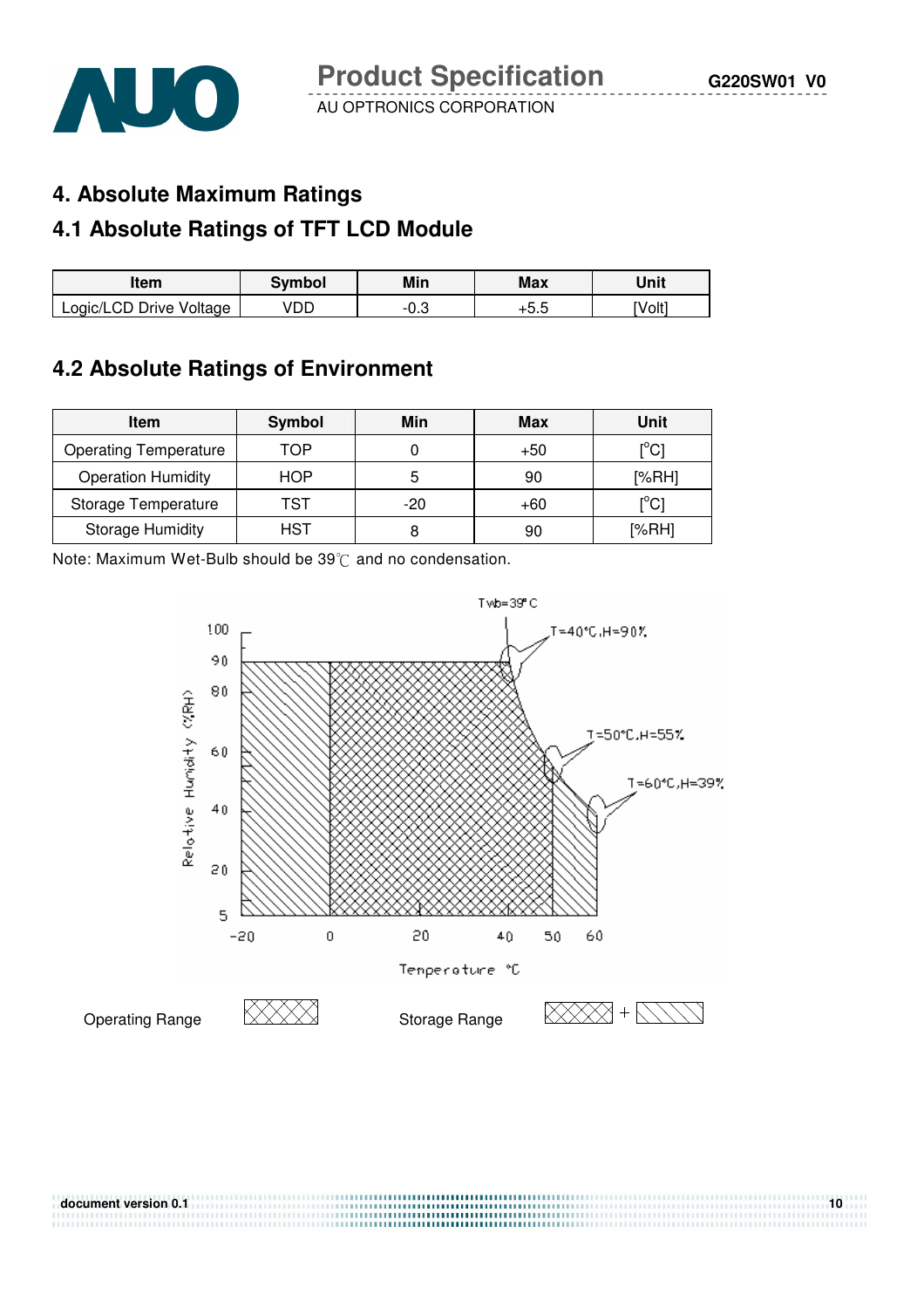

### **4. Absolute Maximum Ratings**

# **4.1 Absolute Ratings of TFT LCD Module**

| ltem                    | Svmbol | Min                | Max      | Unit   |
|-------------------------|--------|--------------------|----------|--------|
| Logic/LCD Drive Voltage | /DC    | ה ר<br>- 1<br>`ບ.ບ | ∽<br>… ∪ | `Volt1 |

# **4.2 Absolute Ratings of Environment**

| <b>Item</b>                  | Symbol     | Min   | Max | Unit                                    |
|------------------------------|------------|-------|-----|-----------------------------------------|
| <b>Operating Temperature</b> | TOP        |       | +50 | $\mathsf{I}^\circ\mathsf{C} \mathsf{I}$ |
| <b>Operation Humidity</b>    | <b>HOP</b> | 5     | 90  | [%RH]                                   |
| Storage Temperature          | TST        | $-20$ | +60 | $\mathop{\rm l}{\rm ^oCl}$              |
| <b>Storage Humidity</b>      | HST        |       | 90  | [%RH]                                   |

Note: Maximum Wet-Bulb should be  $39^{\circ}$ C and no condensation.



**document version 0.1** 10

,,,,,,,,,,,,,,,,,,,,,,,,,,,,,,,,,,,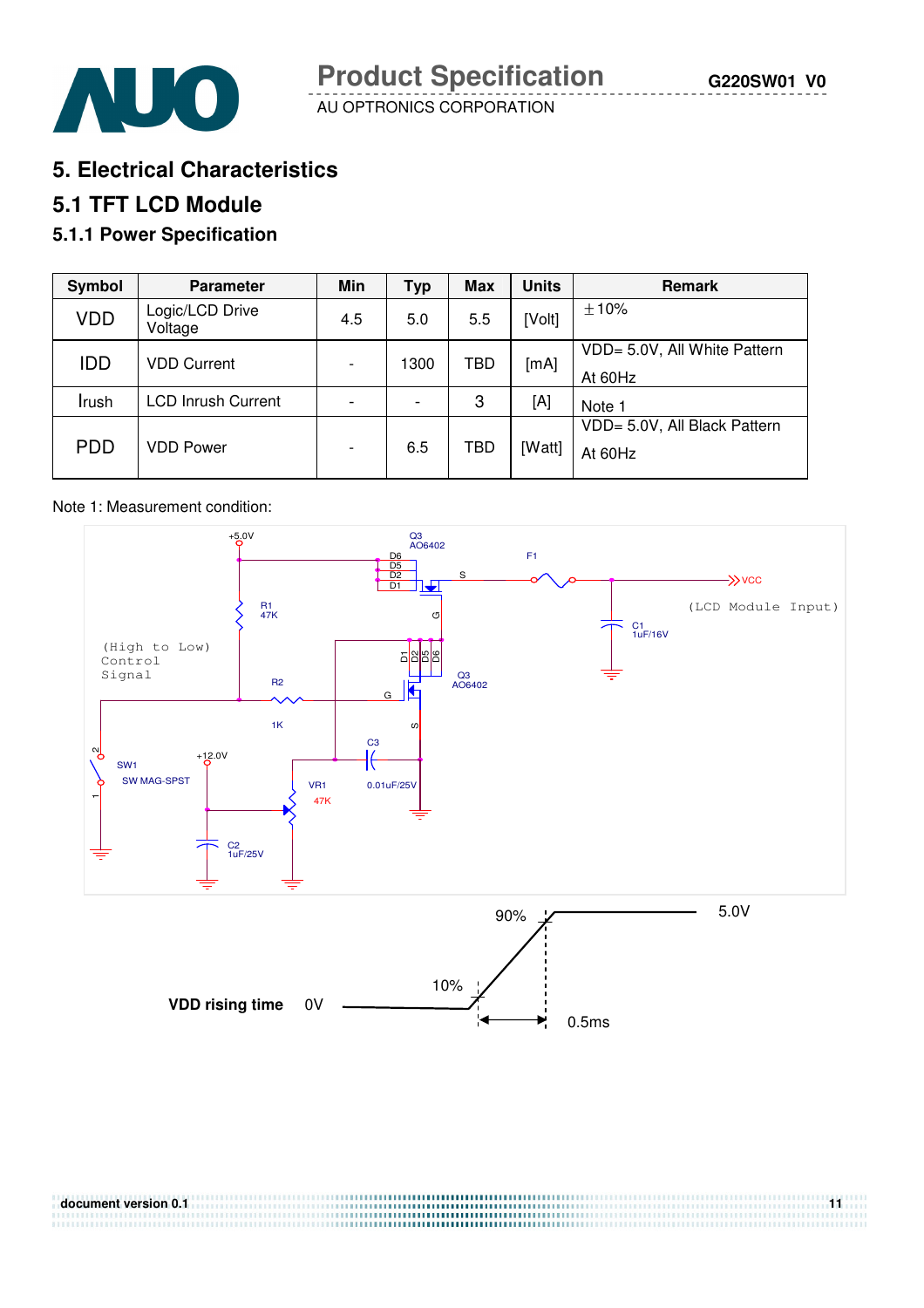

**5. Electrical Characteristics** 

# **5.1 TFT LCD Module**

## **5.1.1 Power Specification**

| Symbol     | <b>Parameter</b>           | Min | <b>Typ</b>               | <b>Max</b> | <b>Units</b> | <b>Remark</b>                           |
|------------|----------------------------|-----|--------------------------|------------|--------------|-----------------------------------------|
| <b>VDD</b> | Logic/LCD Drive<br>Voltage | 4.5 | 5.0                      | 5.5        | [Volt]       | ±10%                                    |
| <b>IDD</b> | <b>VDD Current</b>         |     | 1300                     | TBD        | [mA]         | VDD= 5.0V, All White Pattern<br>At 60Hz |
| Irush      | <b>LCD Inrush Current</b>  |     | $\overline{\phantom{0}}$ | 3          | [A]          | Note 1                                  |
| <b>PDD</b> | <b>VDD Power</b>           |     | 6.5                      | TBD        | [Watt]       | VDD= 5.0V, All Black Pattern<br>At 60Hz |

#### Note 1: Measurement condition:



| document version 0.1 |  |
|----------------------|--|
|                      |  |
|                      |  |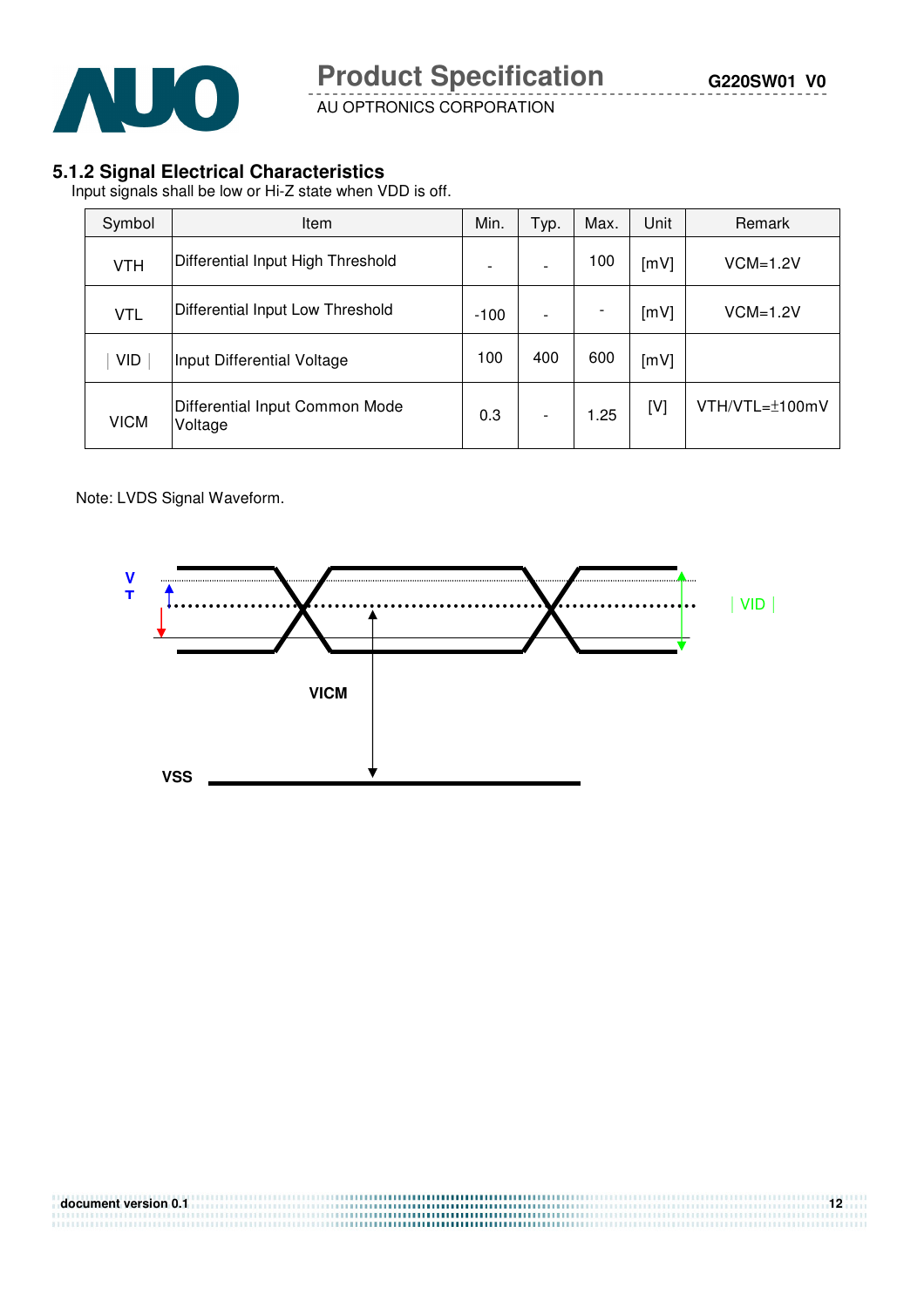

#### **5.1.2 Signal Electrical Characteristics**

Input signals shall be low or Hi-Z state when VDD is off.

| Symbol      | Item                                      | Min.                     | Typ. | Max. | Unit | Remark              |
|-------------|-------------------------------------------|--------------------------|------|------|------|---------------------|
| <b>VTH</b>  | Differential Input High Threshold         | $\overline{\phantom{0}}$ |      | 100  | [mV] | $VCM=1.2V$          |
| <b>VTL</b>  | Differential Input Low Threshold          | $-100$                   |      |      | [mV] | $VCM=1.2V$          |
| <b>VID</b>  | Input Differential Voltage                | 100                      | 400  | 600  | [mV] |                     |
| <b>VICM</b> | Differential Input Common Mode<br>Voltage | 0.3                      |      | 1.25 | [V]  | $VTH/VTL=\pm 100mV$ |

Note: LVDS Signal Waveform.



| document version 0.1 |  |
|----------------------|--|
|                      |  |
|                      |  |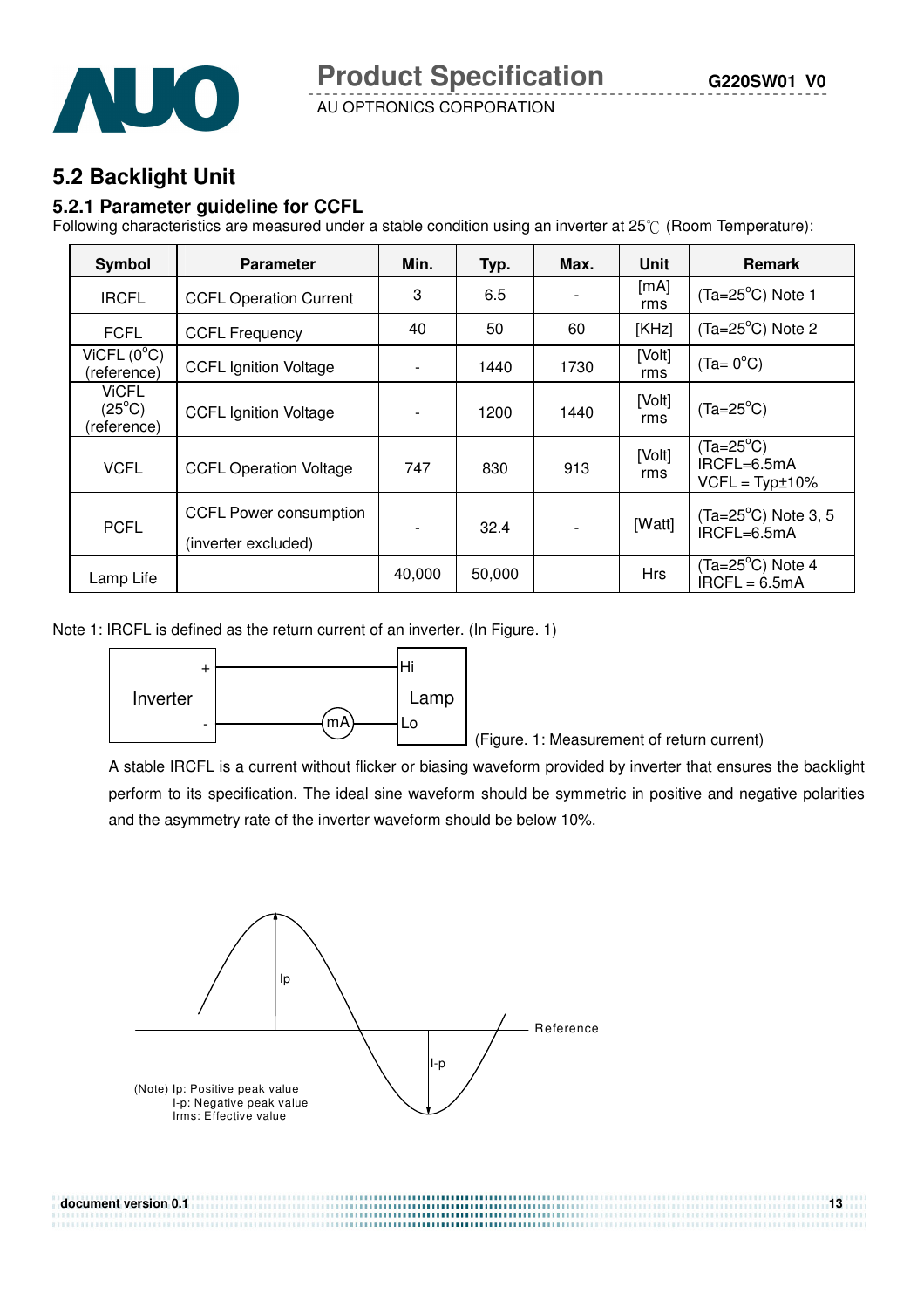

**5.2 Backlight Unit** 

#### **5.2.1 Parameter guideline for CCFL**

Following characteristics are measured under a stable condition using an inverter at 25°C (Room Temperature):

AU OPTRONICS CORPORATION

| Symbol                                                              | <b>Parameter</b>              | Min.                     | Typ.   | Max. | Unit          | <b>Remark</b>                                         |
|---------------------------------------------------------------------|-------------------------------|--------------------------|--------|------|---------------|-------------------------------------------------------|
| <b>IRCFL</b>                                                        | <b>CCFL Operation Current</b> | 3                        | 6.5    |      | [mA]<br>rms   | $(Ta=25^{\circ}C)$ Note 1                             |
| <b>FCFL</b>                                                         | <b>CCFL Frequency</b>         | 40                       | 50     | 60   | [KHz]         | $(Ta=25^{\circ}C)$ Note 2                             |
| ViCFL (0 <sup>o</sup> C)<br>(reference)                             | <b>CCFL Ignition Voltage</b>  |                          | 1440   | 1730 | [Volt]<br>rms | $(Ta=0^{\circ}C)$                                     |
| <b>ViCFL</b><br>$(25^{\circ}C)$<br>(reference)                      | <b>CCFL Ignition Voltage</b>  | $\overline{\phantom{a}}$ | 1200   | 1440 | [Volt]<br>rms | $(Ta=25^{\circ}C)$                                    |
| <b>VCFL</b>                                                         | <b>CCFL Operation Voltage</b> |                          | 830    | 913  | [Volt]<br>rms | $(Ta=25^{\circ}C)$<br>IRCFL=6.5mA<br>$VCFL = Typt10%$ |
| <b>CCFL Power consumption</b><br><b>PCFL</b><br>(inverter excluded) |                               |                          | 32.4   |      | [Watt]        | $(Ta=25^{\circ}C)$ Note 3, 5<br>IRCFL=6.5mA           |
| Lamp Life                                                           |                               | 40,000                   | 50,000 |      | <b>Hrs</b>    | $(Ta=25^{\circ}C)$ Note 4<br>$IRCFL = 6.5mA$          |

Note 1: IRCFL is defined as the return current of an inverter. (In Figure. 1)



(Figure. 1: Measurement of return current)

 A stable IRCFL is a current without flicker or biasing waveform provided by inverter that ensures the backlight perform to its specification. The ideal sine waveform should be symmetric in positive and negative polarities and the asymmetry rate of the inverter waveform should be below 10%.

**document version 0.1 13** 

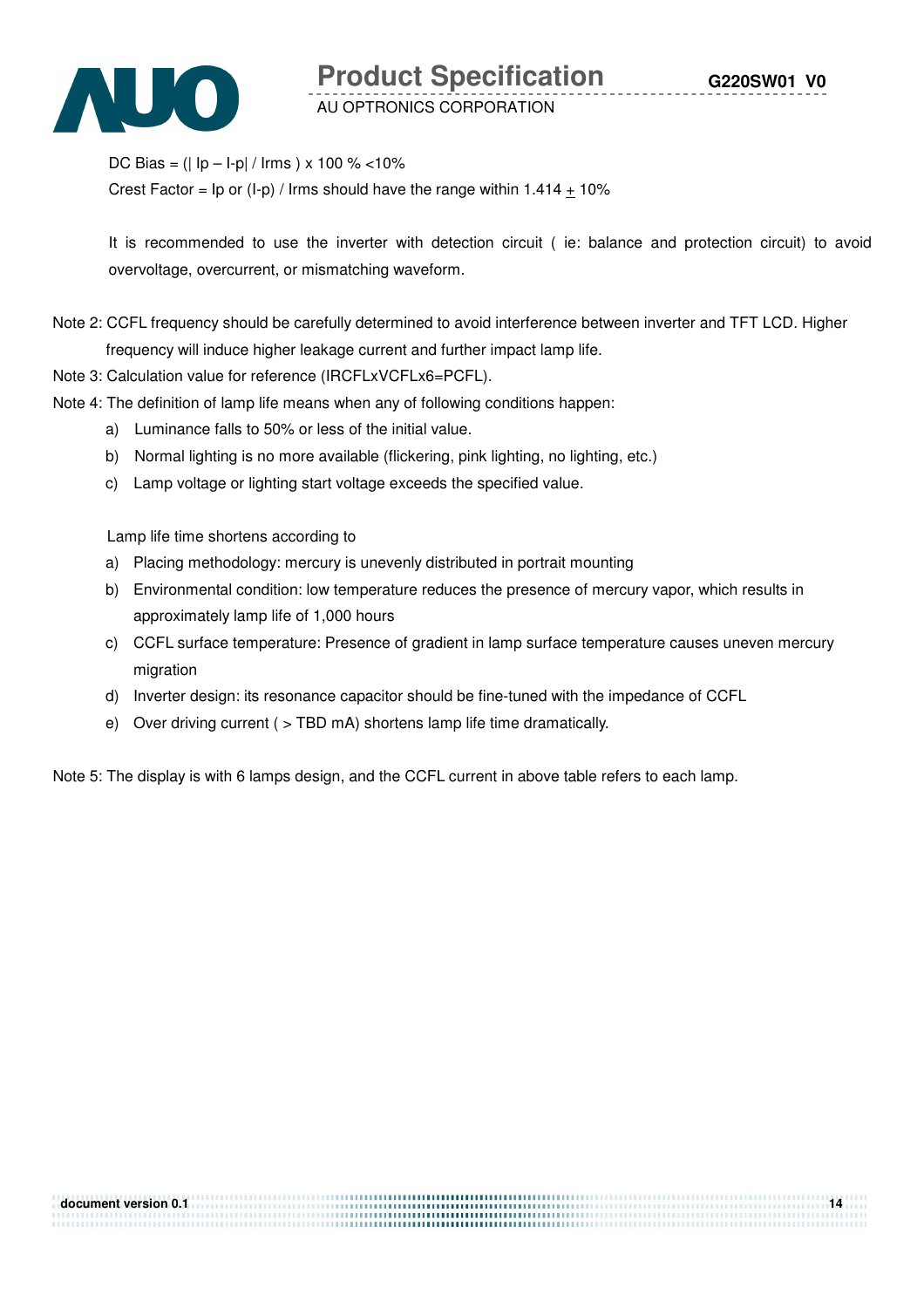

**Product Specification** 

AU OPTRONICS CORPORATION

DC Bias =  $(|$  lp - l-p| / lrms  $) \times 100 \%$  <10%

Crest Factor =  $\ln$  or (I-p) / Irms should have the range within 1.414  $\pm$  10%

 It is recommended to use the inverter with detection circuit ( ie: balance and protection circuit) to avoid overvoltage, overcurrent, or mismatching waveform.

Note 2: CCFL frequency should be carefully determined to avoid interference between inverter and TFT LCD. Higher frequency will induce higher leakage current and further impact lamp life.

Note 3: Calculation value for reference (IRCFLxVCFLx6=PCFL).

Note 4: The definition of lamp life means when any of following conditions happen:

- a) Luminance falls to 50% or less of the initial value.
- b) Normal lighting is no more available (flickering, pink lighting, no lighting, etc.)
- c) Lamp voltage or lighting start voltage exceeds the specified value.

Lamp life time shortens according to

- a) Placing methodology: mercury is unevenly distributed in portrait mounting
- b) Environmental condition: low temperature reduces the presence of mercury vapor, which results in approximately lamp life of 1,000 hours
- c) CCFL surface temperature: Presence of gradient in lamp surface temperature causes uneven mercury migration
- d) Inverter design: its resonance capacitor should be fine-tuned with the impedance of CCFL
- e) Over driving current ( > TBD mA) shortens lamp life time dramatically.

Note 5: The display is with 6 lamps design, and the CCFL current in above table refers to each lamp.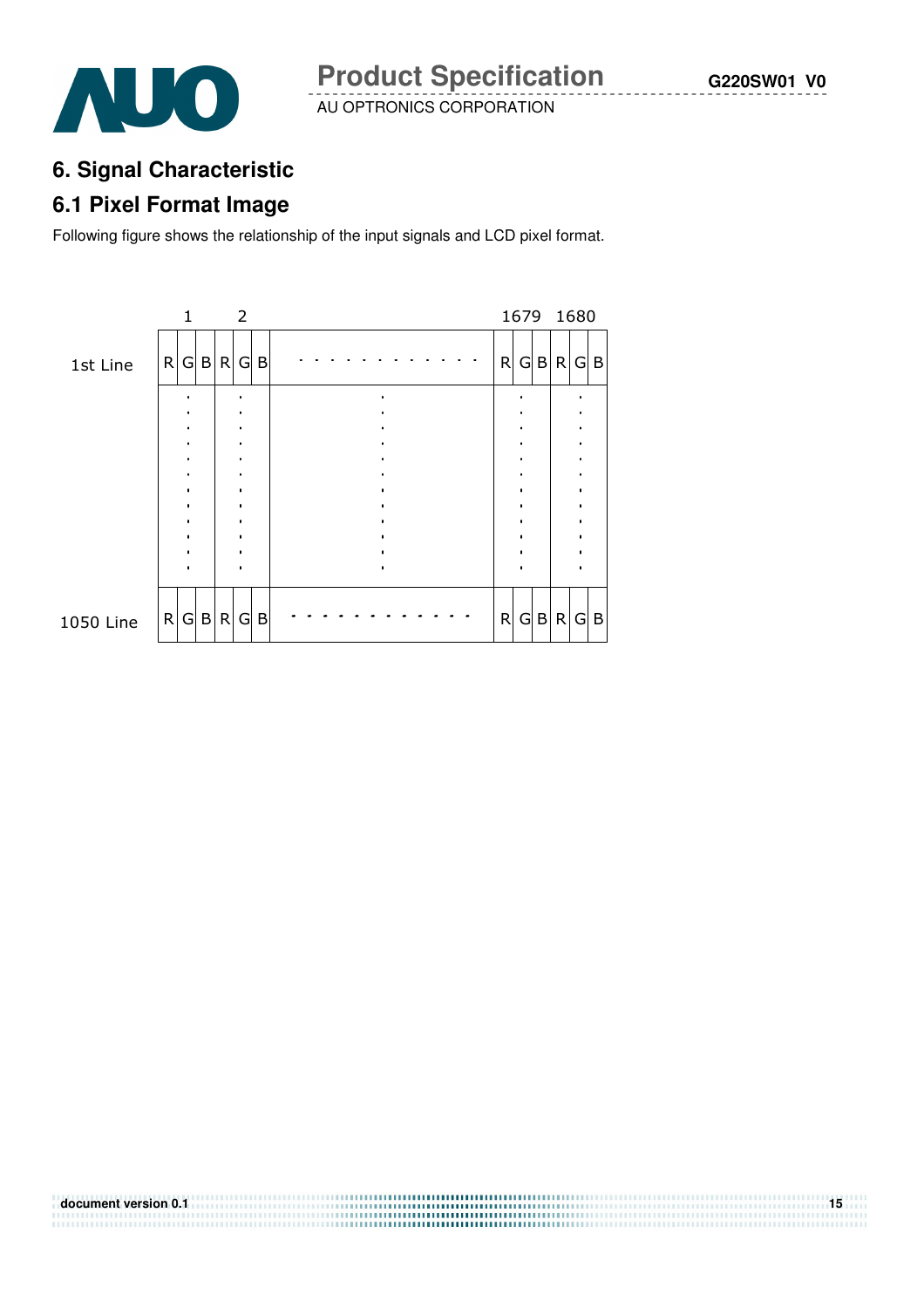



# **6. Signal Characteristic**

## **6.1 Pixel Format Image**

Following figure shows the relationship of the input signals and LCD pixel format.

| 1 |        | 2                  |         |                 |     |  |  |  |  |  |        |     |                                   |
|---|--------|--------------------|---------|-----------------|-----|--|--|--|--|--|--------|-----|-----------------------------------|
|   |        |                    |         |                 |     |  |  |  |  |  |        |     |                                   |
|   |        |                    |         |                 |     |  |  |  |  |  |        |     |                                   |
|   |        |                    |         |                 |     |  |  |  |  |  |        |     |                                   |
|   |        |                    |         |                 |     |  |  |  |  |  |        |     |                                   |
|   |        |                    |         |                 |     |  |  |  |  |  |        |     |                                   |
|   |        |                    |         |                 |     |  |  |  |  |  |        |     | $\mathsf B$                       |
|   | R<br>R | G B <br>$G \mid B$ | R <br>R | $G \setminus B$ | G B |  |  |  |  |  | R<br>R | G B | 1679 1680<br>$G$ B R $G$ B<br>R G |

**document version 0.1 15**<br>**document version 0.1**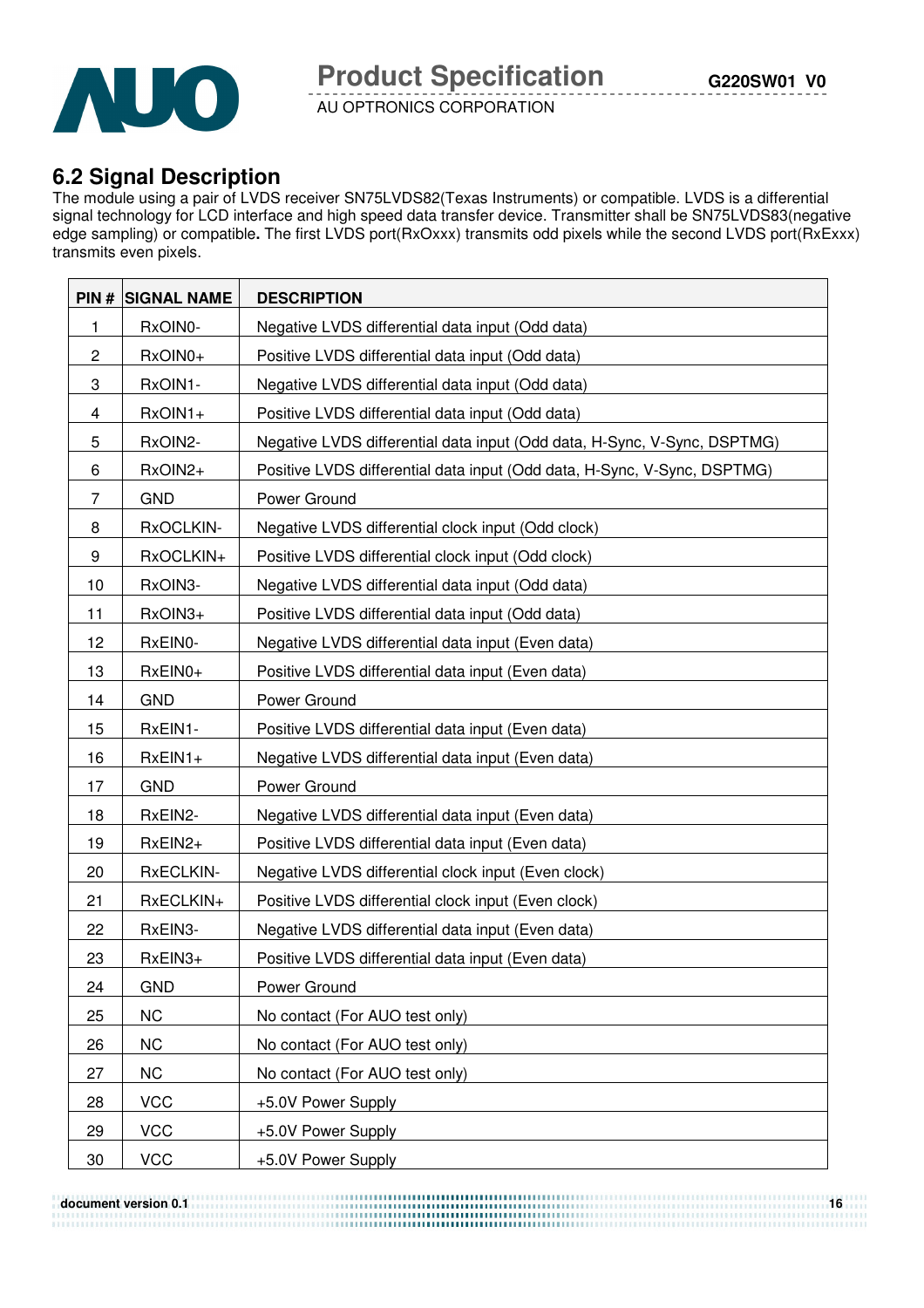

# **6.2 Signal Description**

The module using a pair of LVDS receiver SN75LVDS82(Texas Instruments) or compatible. LVDS is a differential signal technology for LCD interface and high speed data transfer device. Transmitter shall be SN75LVDS83(negative edge sampling) or compatible**.** The first LVDS port(RxOxxx) transmits odd pixels while the second LVDS port(RxExxx) transmits even pixels.

|             | <b>PIN # SIGNAL NAME</b> | <b>DESCRIPTION</b>                                                       |
|-------------|--------------------------|--------------------------------------------------------------------------|
| 1           | RxOIN0-                  | Negative LVDS differential data input (Odd data)                         |
| $\mathbf 2$ | RxOIN0+                  | Positive LVDS differential data input (Odd data)                         |
| 3           | RxOIN1-                  | Negative LVDS differential data input (Odd data)                         |
| 4           | RxOIN1+                  | Positive LVDS differential data input (Odd data)                         |
| 5           | RxOIN2-                  | Negative LVDS differential data input (Odd data, H-Sync, V-Sync, DSPTMG) |
| 6           | RxOIN2+                  | Positive LVDS differential data input (Odd data, H-Sync, V-Sync, DSPTMG) |
| 7           | <b>GND</b>               | Power Ground                                                             |
| 8           | RxOCLKIN-                | Negative LVDS differential clock input (Odd clock)                       |
| 9           | RxOCLKIN+                | Positive LVDS differential clock input (Odd clock)                       |
| 10          | RxOIN3-                  | Negative LVDS differential data input (Odd data)                         |
| 11          | RxOIN3+                  | Positive LVDS differential data input (Odd data)                         |
| 12          | RxEIN0-                  | Negative LVDS differential data input (Even data)                        |
| 13          | RxEIN0+                  | Positive LVDS differential data input (Even data)                        |
| 14          | <b>GND</b>               | Power Ground                                                             |
| 15          | RxEIN1-                  | Positive LVDS differential data input (Even data)                        |
| 16          | $RxEIN1+$                | Negative LVDS differential data input (Even data)                        |
| 17          | <b>GND</b>               | Power Ground                                                             |
| 18          | RxEIN2-                  | Negative LVDS differential data input (Even data)                        |
| 19          | RxEIN2+                  | Positive LVDS differential data input (Even data)                        |
| 20          | RxECLKIN-                | Negative LVDS differential clock input (Even clock)                      |
| 21          | RxECLKIN+                | Positive LVDS differential clock input (Even clock)                      |
| 22          | RxEIN3-                  | Negative LVDS differential data input (Even data)                        |
| 23          | RxEIN3+                  | Positive LVDS differential data input (Even data)                        |
| 24          | <b>GND</b>               | Power Ground                                                             |
| 25          | <b>NC</b>                | No contact (For AUO test only)                                           |
| 26          | <b>NC</b>                | No contact (For AUO test only)                                           |
| 27          | <b>NC</b>                | No contact (For AUO test only)                                           |
| 28          | <b>VCC</b>               | +5.0V Power Supply                                                       |
| 29          | <b>VCC</b>               | +5.0V Power Supply                                                       |
| 30          | <b>VCC</b>               | +5.0V Power Supply                                                       |

**document version 0.1 16 <b>a**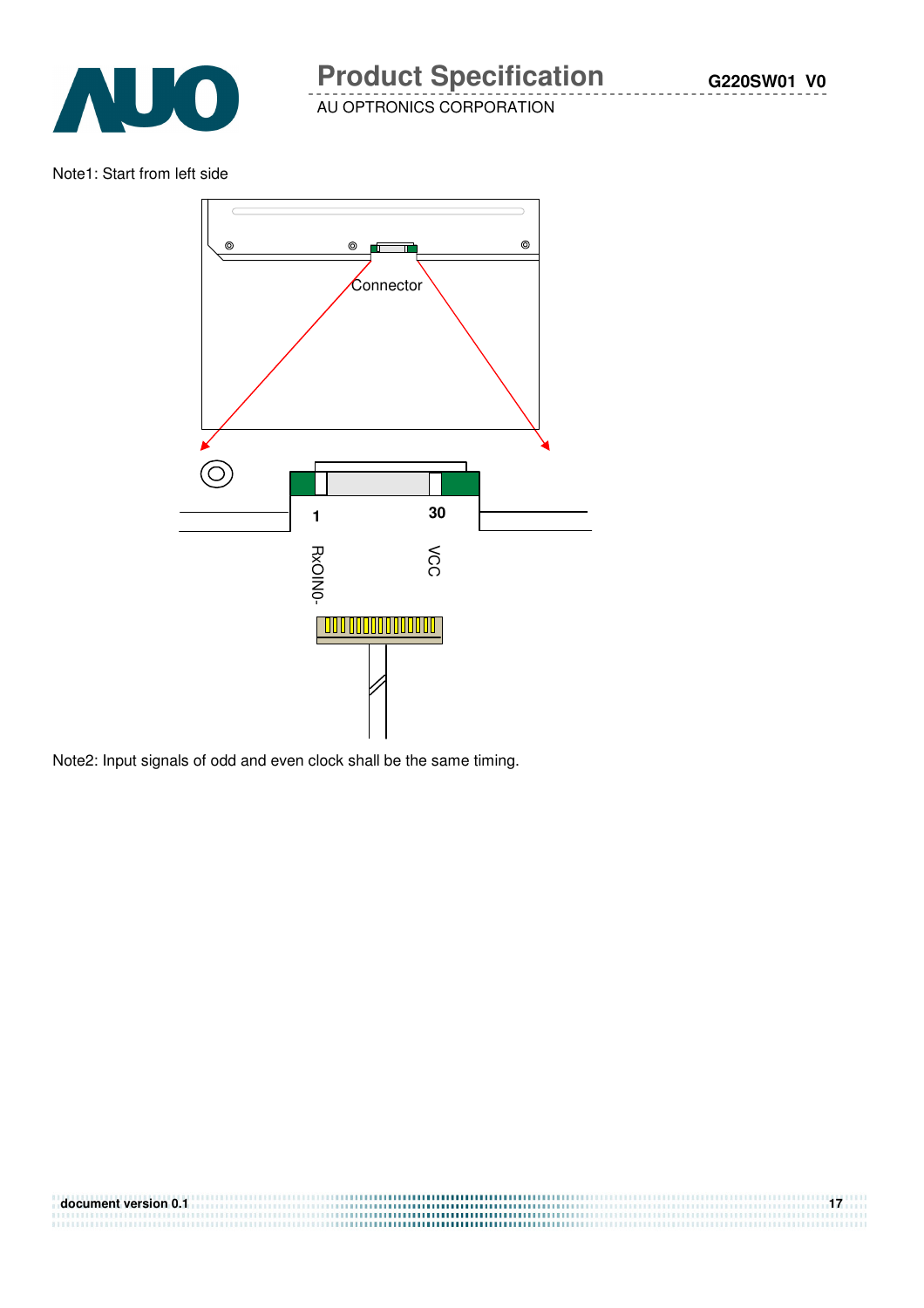

Note1: Start from left side



Note2: Input signals of odd and even clock shall be the same timing.

| document version 0.1 |  |
|----------------------|--|
|                      |  |
|                      |  |
|                      |  |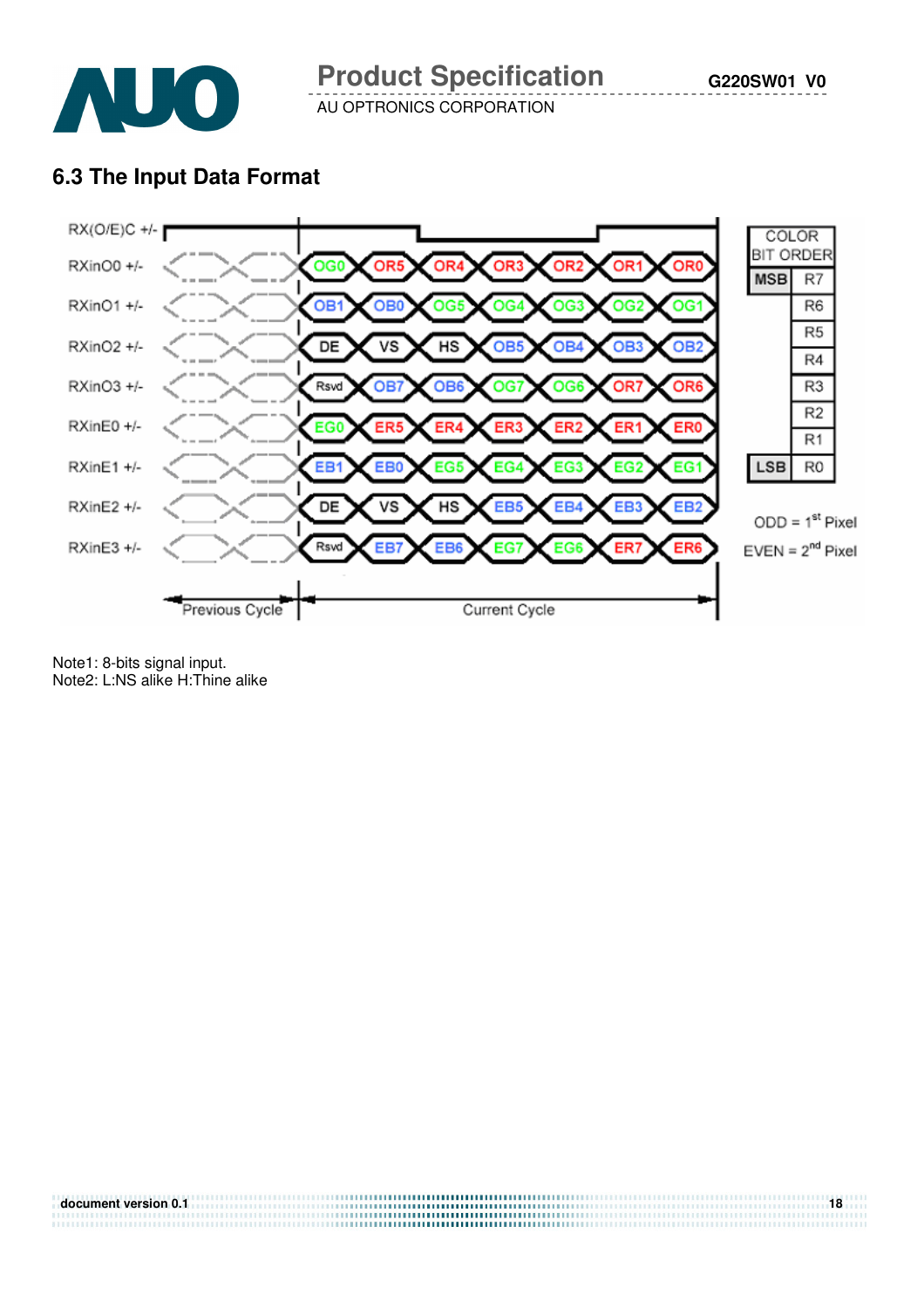

# **6.3 The Input Data Format**



 $ODD = 1<sup>st</sup>$  Pixel

Note1: 8-bits signal input. Note2: L:NS alike H:Thine alike

| document version 0.1 | 18 |
|----------------------|----|
|                      |    |
|                      |    |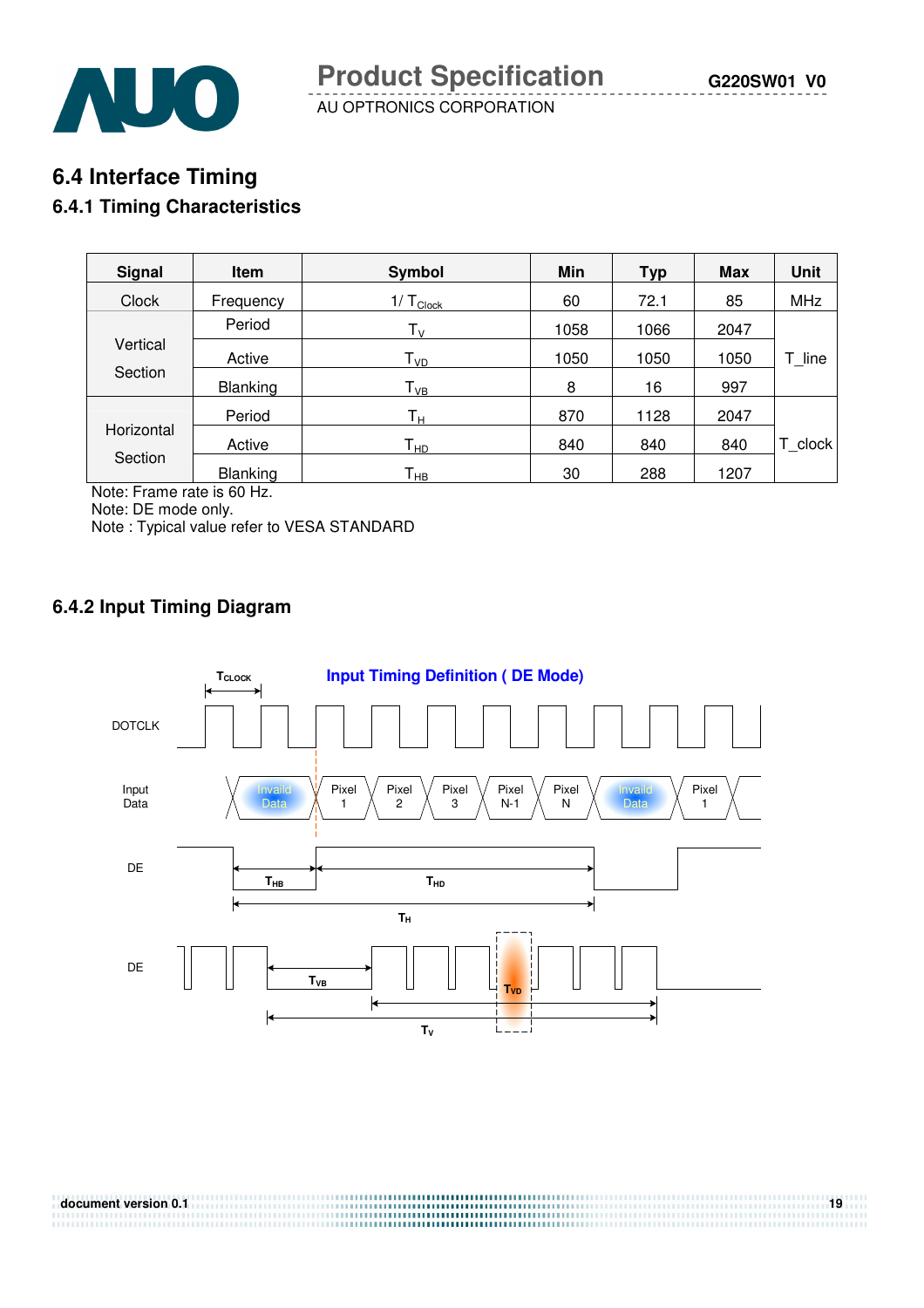## **6.4 Interface Timing**

#### **6.4.1 Timing Characteristics**

| <b>Signal</b>       | Item            | Symbol                  | Min  | <b>Typ</b> | <b>Max</b> | <b>Unit</b> |
|---------------------|-----------------|-------------------------|------|------------|------------|-------------|
| <b>Clock</b>        | Frequency       | $1/T_{Clock}$           | 60   | 72.1       | 85         | <b>MHz</b>  |
|                     | Period          | $T_{V}$                 | 1058 | 1066       | 2047       |             |
| Vertical<br>Section | Active          | T <sub>VD</sub>         | 1050 | 1050       | 1050       | T line      |
|                     | <b>Blanking</b> | $T_{VB}$                | 8    | 16         | 997        |             |
|                     | Period          | $\mathsf{T}_\mathsf{H}$ | 870  | 1128       | 2047       |             |
| Horizontal          | Active          | $T_{HD}$                | 840  | 840        | 840        | T clock     |
| Section<br>$\cdots$ | <b>Blanking</b> | Т <sub>нв</sub>         | 30   | 288        | 1207       |             |

Note: Frame rate is 60 Hz.

Note: DE mode only.

Note : Typical value refer to VESA STANDARD

### **6.4.2 Input Timing Diagram**

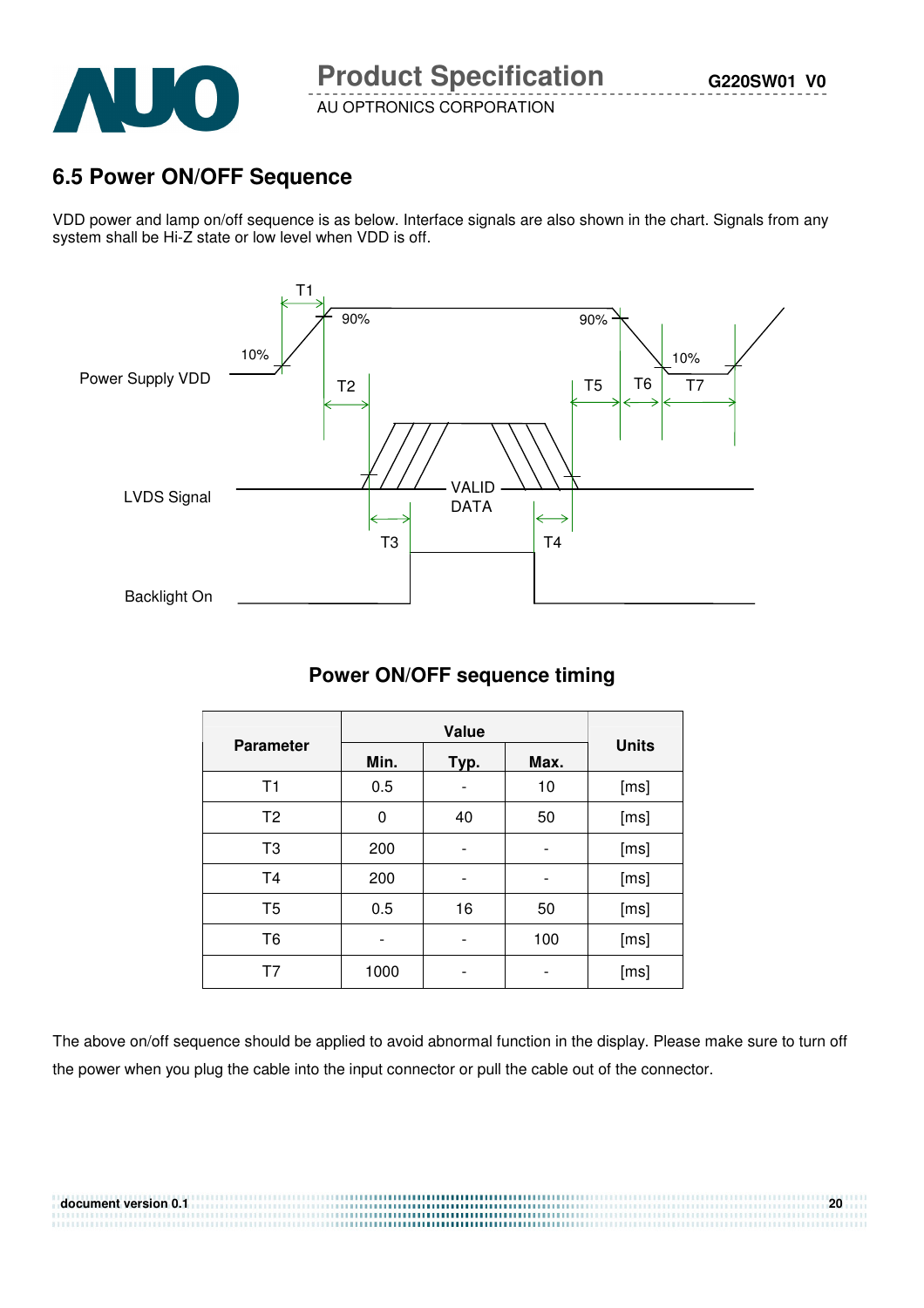

# **6.5 Power ON/OFF Sequence**

VDD power and lamp on/off sequence is as below. Interface signals are also shown in the chart. Signals from any system shall be Hi-Z state or low level when VDD is off.



### **Power ON/OFF sequence timing**

| <b>Parameter</b> | Min. | Typ.                         | Max. | <b>Units</b> |  |  |
|------------------|------|------------------------------|------|--------------|--|--|
| T <sub>1</sub>   | 0.5  | -                            | 10   | [ms]         |  |  |
| T <sub>2</sub>   | 0    | 40                           | 50   | [ms]         |  |  |
| T <sub>3</sub>   | 200  |                              |      | [ms]         |  |  |
| T <sub>4</sub>   | 200  | $\qquad \qquad \blacksquare$ |      | [ms]         |  |  |
| T <sub>5</sub>   | 0.5  | 16                           | 50   | [ms]         |  |  |
| T6               |      | -                            | 100  | [ms]         |  |  |
| T7               | 1000 |                              |      | [ms]         |  |  |

The above on/off sequence should be applied to avoid abnormal function in the display. Please make sure to turn off the power when you plug the cable into the input connector or pull the cable out of the connector.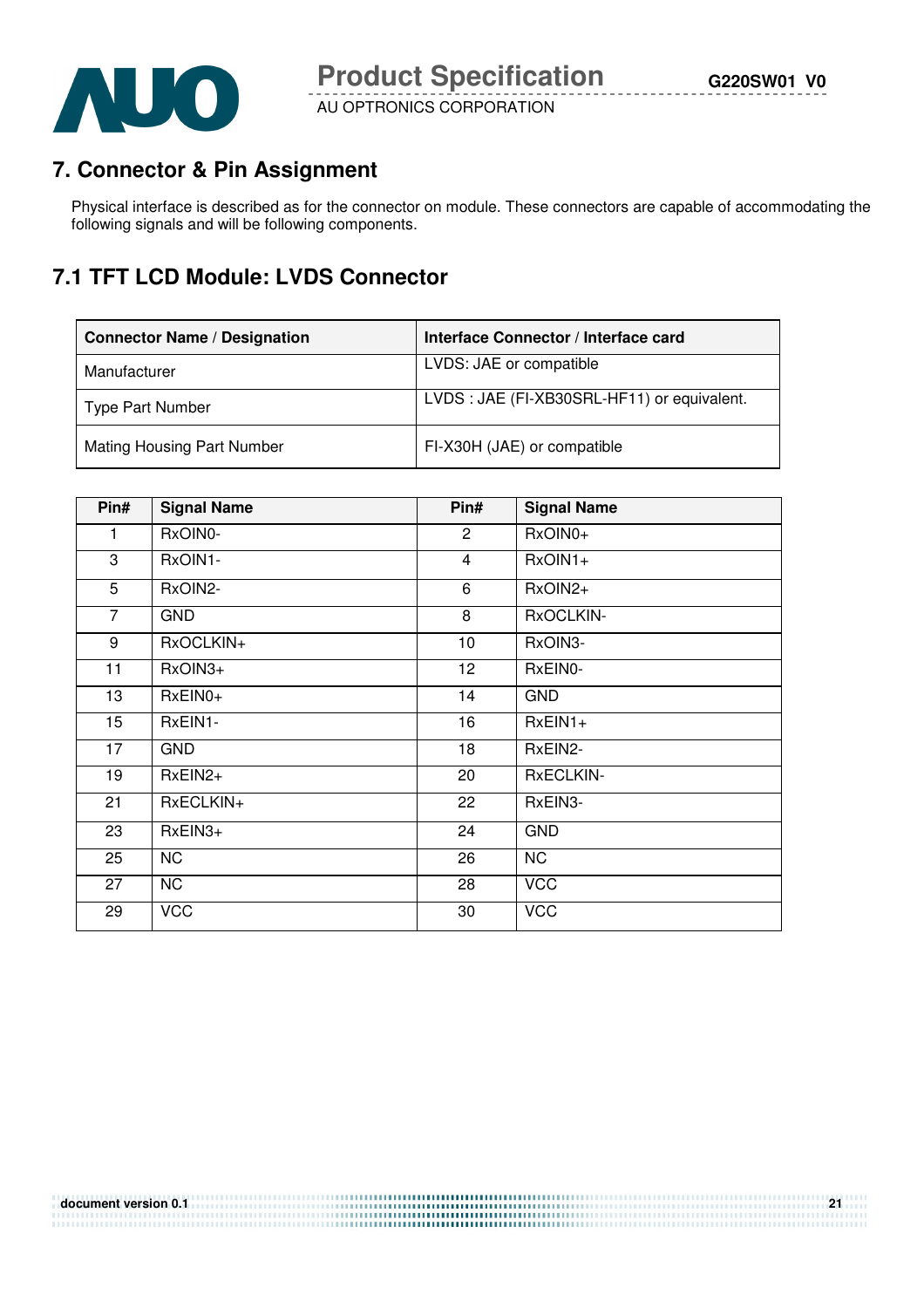

# **7. Connector & Pin Assignment**

Physical interface is described as for the connector on module. These connectors are capable of accommodating the following signals and will be following components.

# **7.1 TFT LCD Module: LVDS Connector**

| <b>Connector Name / Designation</b> | Interface Connector / Interface card       |
|-------------------------------------|--------------------------------------------|
| Manufacturer                        | LVDS: JAE or compatible                    |
| Type Part Number                    | LVDS: JAE (FI-XB30SRL-HF11) or equivalent. |
| <b>Mating Housing Part Number</b>   | FI-X30H (JAE) or compatible                |

| Pin#           | <b>Signal Name</b> | Pin#            | <b>Signal Name</b> |
|----------------|--------------------|-----------------|--------------------|
| 1              | RxOIN0-            | $\overline{2}$  | RxOIN0+            |
| 3              | RxOIN1-            | $\overline{4}$  | RxOIN1+            |
| 5              | RxOIN2-            | 6               | RxOIN2+            |
| $\overline{7}$ | <b>GND</b>         | 8               | RxOCLKIN-          |
| 9              | RxOCLKIN+          | 10              | RxOIN3-            |
| 11             | RxOIN3+            | 12 <sub>2</sub> | RxEIN0-            |
| 13             | RxEIN0+            | 14              | <b>GND</b>         |
| 15             | RxEIN1-            | 16              | $RxEIN1+$          |
| 17             | <b>GND</b>         | 18              | RxEIN2-            |
| 19             | $RxEIN2+$          | 20              | <b>RxECLKIN-</b>   |
| 21             | RxECLKIN+          | 22              | RxEIN3-            |
| 23             | RxEIN3+            | 24              | <b>GND</b>         |
| 25             | <b>NC</b>          | 26              | <b>NC</b>          |
| 27             | <b>NC</b>          | 28              | <b>VCC</b>         |
| 29             | <b>VCC</b>         | 30              | <b>VCC</b>         |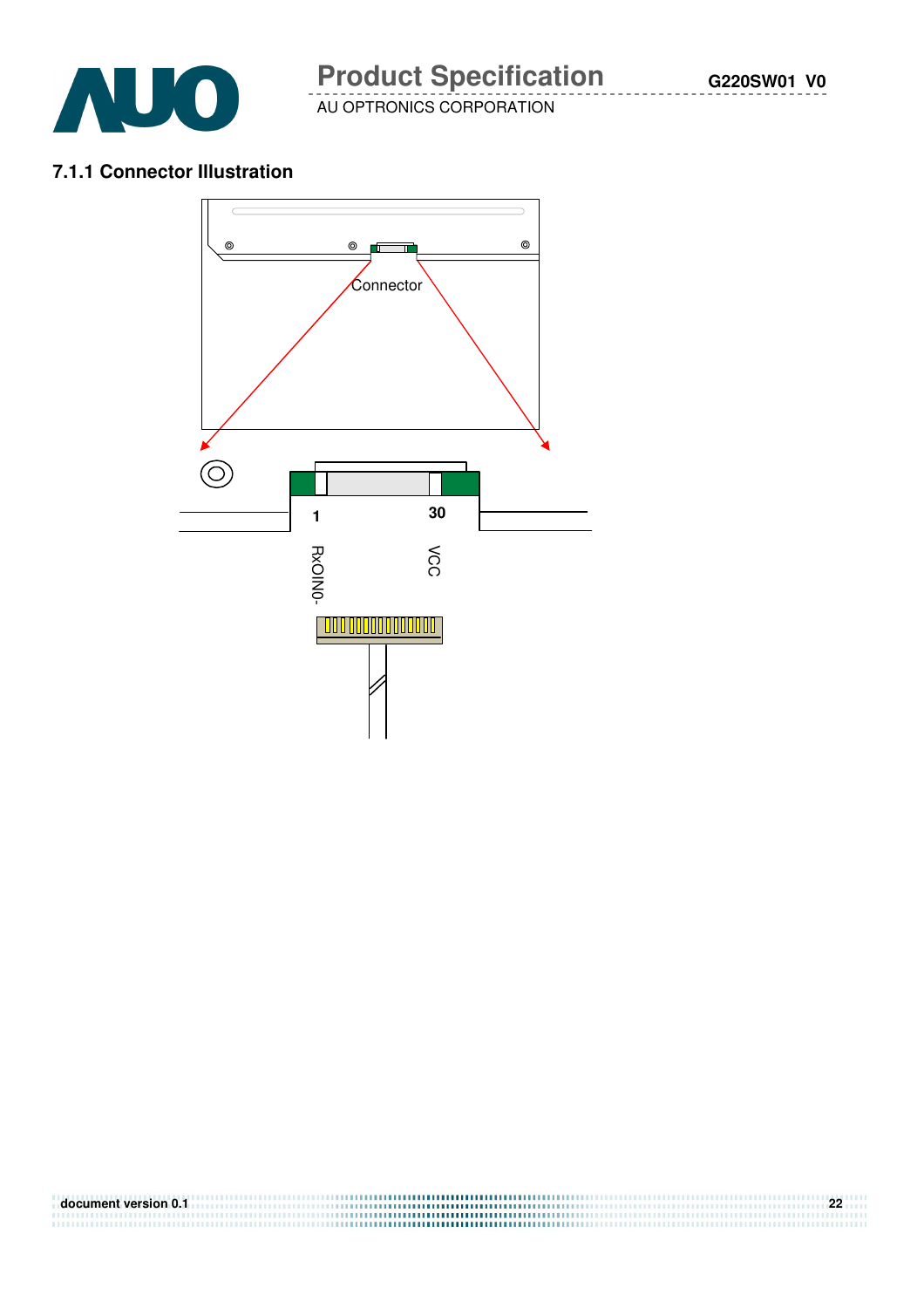

#### **7.1.1 Connector Illustration**



| document version 0.1 | 22 |
|----------------------|----|
|                      |    |
|                      |    |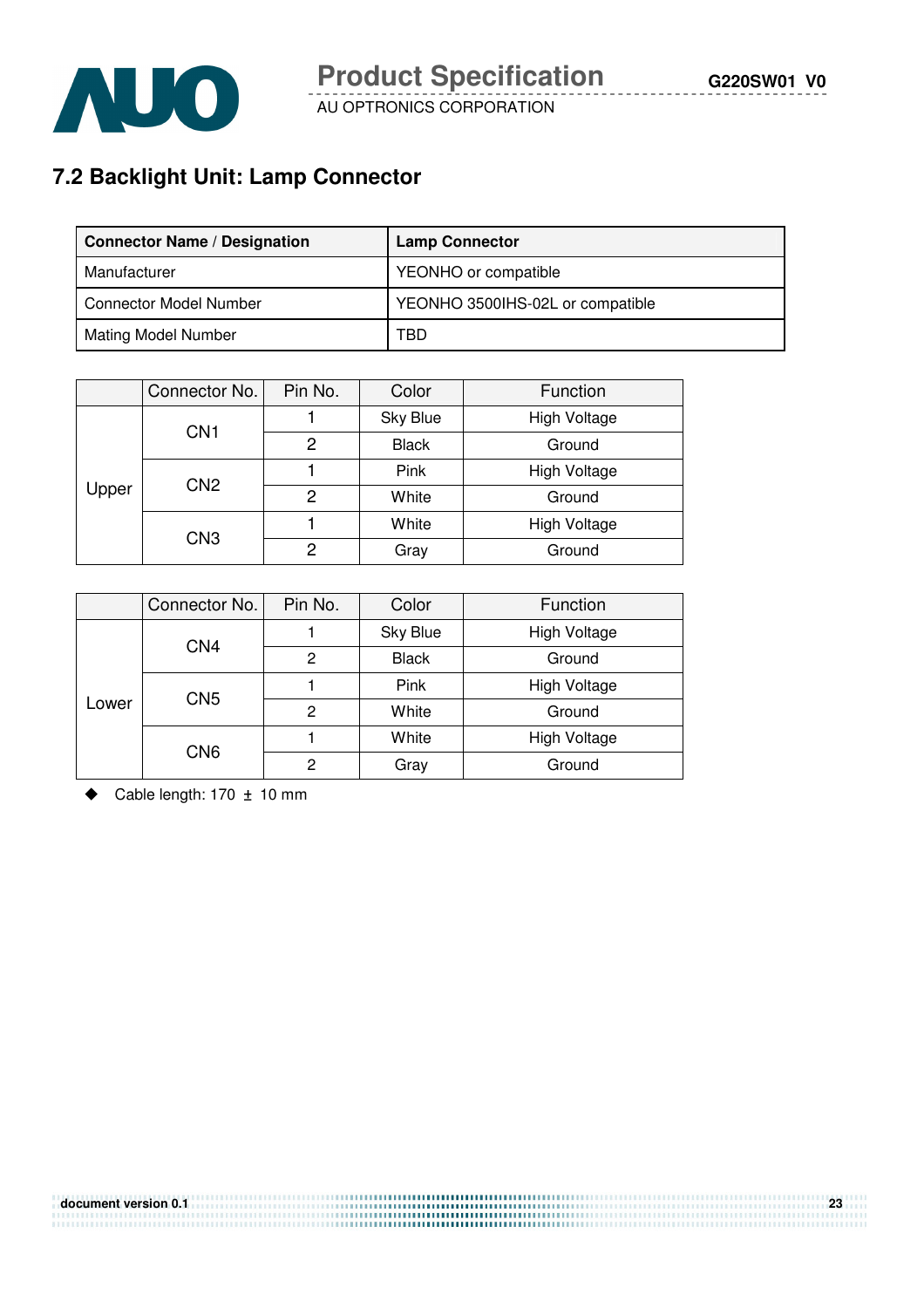

# **7.2 Backlight Unit: Lamp Connector**

| <b>Connector Name / Designation</b> | <b>Lamp Connector</b>            |
|-------------------------------------|----------------------------------|
| Manufacturer                        | YEONHO or compatible             |
| <b>Connector Model Number</b>       | YEONHO 3500IHS-02L or compatible |
| <b>Mating Model Number</b>          | TBD                              |

|       | Connector No.   | Pin No. | Color        | Function            |
|-------|-----------------|---------|--------------|---------------------|
| Upper | CN <sub>1</sub> |         | Sky Blue     | <b>High Voltage</b> |
|       |                 | 2       | <b>Black</b> | Ground              |
|       | CN <sub>2</sub> |         | Pink         | <b>High Voltage</b> |
|       |                 | 2       | White        | Ground              |
|       | CN <sub>3</sub> |         | White        | High Voltage        |
|       |                 | 2       | Gray         | Ground              |

|       | Connector No.   | Pin No. | Color        | Function            |  |
|-------|-----------------|---------|--------------|---------------------|--|
| Lower | CN <sub>4</sub> |         | Sky Blue     | High Voltage        |  |
|       |                 | 2       | <b>Black</b> | Ground              |  |
|       | CN <sub>5</sub> |         | Pink         | High Voltage        |  |
|       |                 | 2       | White        | Ground              |  |
|       | CN <sub>6</sub> |         | White        | <b>High Voltage</b> |  |
|       |                 | 2       | Gray         | Ground              |  |

Cable length:  $170 \pm 10$  mm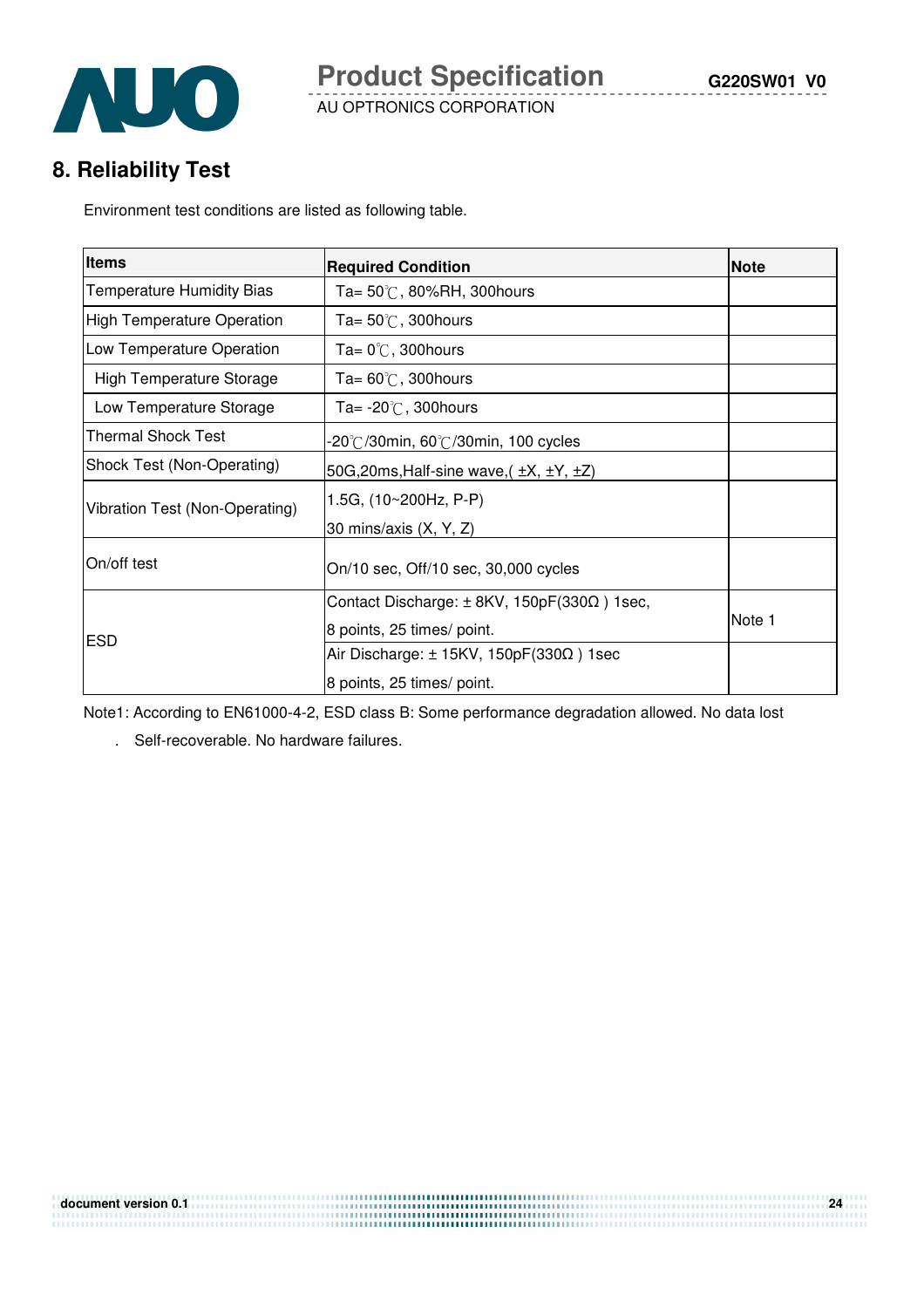

# **8. Reliability Test**

Environment test conditions are listed as following table.

| <b>Items</b>                      | <b>Required Condition</b>                                | <b>Note</b> |
|-----------------------------------|----------------------------------------------------------|-------------|
| <b>Temperature Humidity Bias</b>  | Ta= $50^{\circ}$ C, 80%RH, 300 hours                     |             |
| <b>High Temperature Operation</b> | Ta= $50^{\circ}$ C, 300 hours                            |             |
| Low Temperature Operation         | Ta= $0^{\circ}$ C, 300 hours                             |             |
| High Temperature Storage          | Ta= $60^{\circ}$ C, 300 hours                            |             |
| Low Temperature Storage           | Ta= $-20^{\circ}$ C, 300 hours                           |             |
| <b>Thermal Shock Test</b>         | -20°C/30min, 60°C/30min, 100 cycles                      |             |
| Shock Test (Non-Operating)        | 50G, 20ms, Half-sine wave, $(\pm X, \pm Y, \pm Z)$       |             |
| Vibration Test (Non-Operating)    | 1.5G, $(10~200Hz, P-P)$                                  |             |
|                                   | 30 mins/axis (X, Y, Z)                                   |             |
| On/off test                       | On/10 sec, Off/10 sec, 30,000 cycles                     |             |
|                                   | Contact Discharge: $\pm$ 8KV, 150pF(330 $\Omega$ ) 1sec, |             |
| <b>ESD</b>                        | 8 points, 25 times/ point.                               | Note 1      |
|                                   | Air Discharge: $\pm$ 15KV, 150pF(330 $\Omega$ ) 1sec     |             |
|                                   | 8 points, 25 times/ point.                               |             |

Note1: According to EN61000-4-2, ESD class B: Some performance degradation allowed. No data lost

. Self-recoverable. No hardware failures.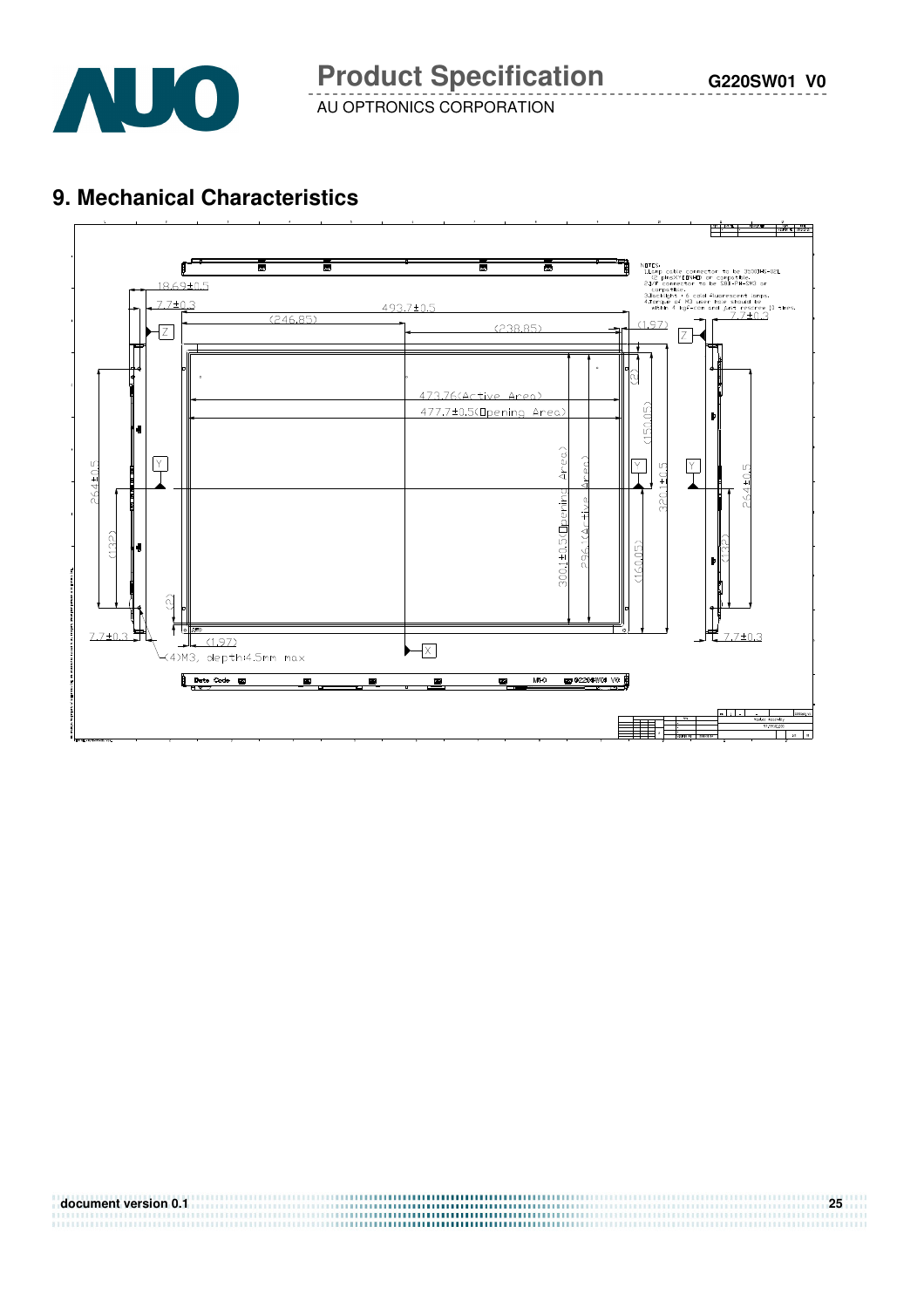

# **9. Mechanical Characteristics**



| document version 0.1 |  |
|----------------------|--|
|                      |  |
|                      |  |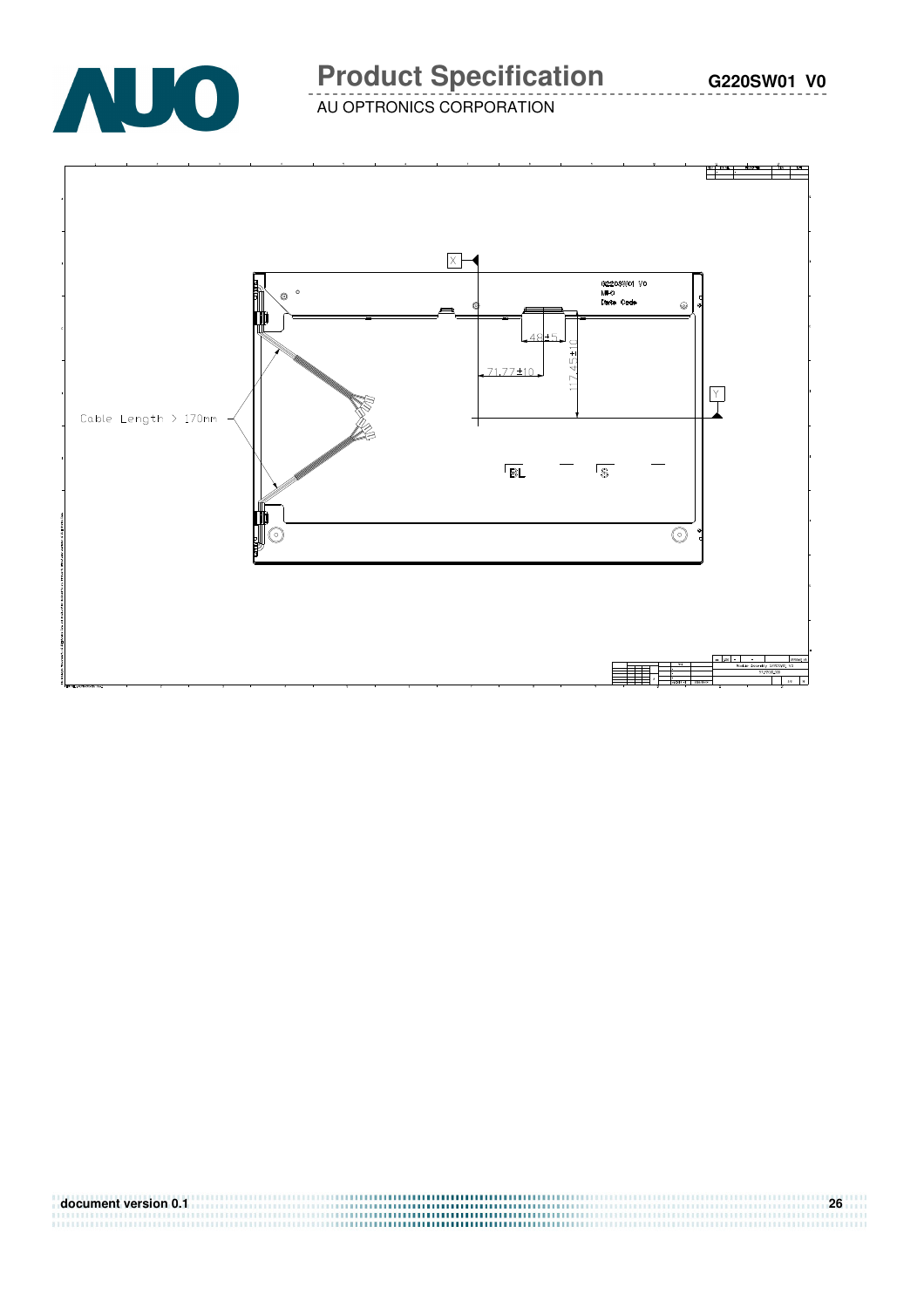

# **Product Specification** G220SW01 V0

AU OPTRONICS CORPORATION



| document version 0.1 | 26 |
|----------------------|----|
|                      |    |
|                      |    |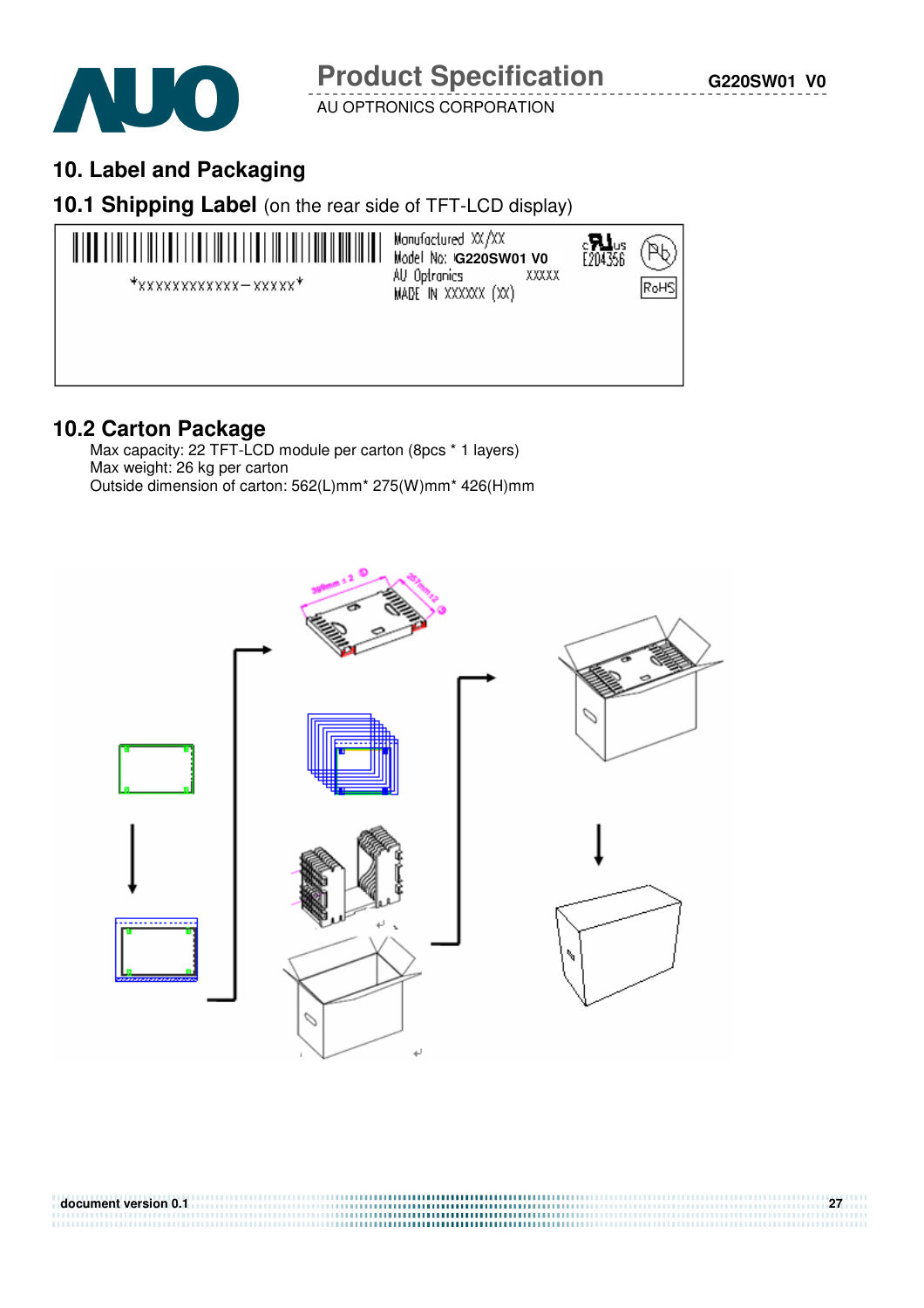

# **10. Label and Packaging**

#### **10.1 Shipping Label** (on the rear side of TFT-LCD display)



# **10.2 Carton Package**

 Max capacity: 22 TFT-LCD module per carton (8pcs \* 1 layers) Max weight: 26 kg per carton Outside dimension of carton: 562(L)mm\* 275(W)mm\* 426(H)mm



**document version 0.1 27**